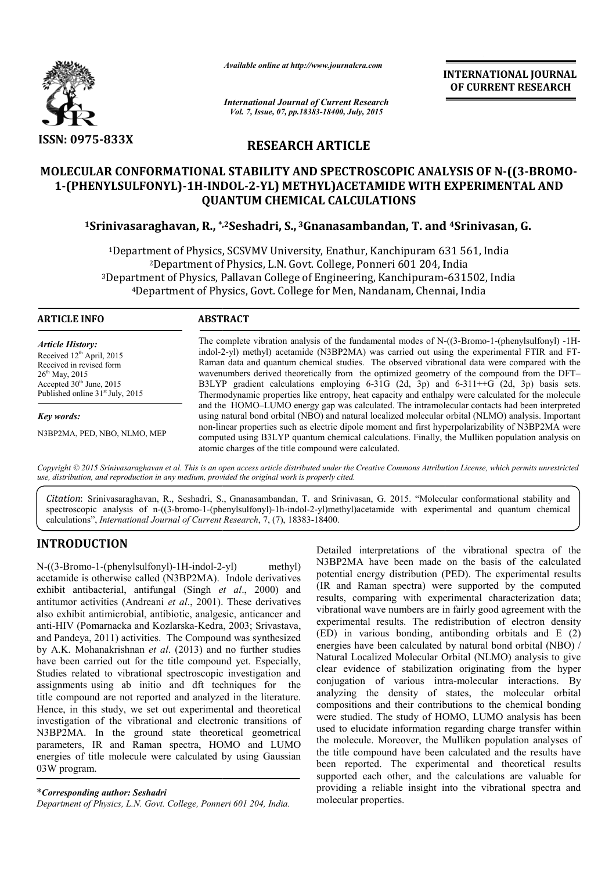

*Available online at http://www.journalcra.com*

**INTERNATIONAL INTERNATIONAL JOURNAL OF CURRENT RESEARCH** 

*International Journal of Current Research Vol. 7, Issue, 07, pp.18383-18400, July, 2015*

# **RESEARCH ARTICLE**

# MOLECULAR CONFORMATIONAL STABILITY AND SPECTROSCOPIC ANALYSIS OF N-((3-BROMO-**1-(PHENYLSULFONYL)-1H-INDOL INDOL-2-YL) METHYL)ACETAMIDE WITH EXPERIMENTAL AND QUANTUM CHEMICAL CALCULATIONS**

# <sup>1</sup>Srinivasaraghavan, R., \*<sup>,2</sup>Seshadri, S., <sup>3</sup>Gnanasambandan, T. and <sup>4</sup>Srinivasan, G.

<sup>1</sup>Department of Physics, SCSVMV University, Enathur, Kanchipuram 631 561, India<br><sup>2</sup>Department of Physics, L.N. Govt. College, Ponneri 601 204, India <sup>2</sup>Department of Physics, L.N. Govt. College, Ponneri 601 204, India <sup>1</sup>Department of Physics, SCSVMV University, Enathur, Kanchipuram 631 561, India<sup>2</sup>Department of Physics, L.N. Govt. College, Ponneri 601 204, India<sup>2</sup>Department of Physics, Pallavan College of Engineering, Kanchipuram-631 4Department of Physics, Govt. College for Men, Nandanam, Chennai, India Department for Men, Nandanam,

#### **ARTICLE INFO ABSTRACT**

*Article History:* Received 12<sup>th</sup> April, 2015 Received in revised form  $26<sup>th</sup>$  May, 2015 Accepted 30<sup>th</sup> June, 2015 Published online 31<sup>st</sup> July, 2015

*Key words:*

N3BP2MA, PED, NBO, NLMO, MEP

The complete vibration analysis of the fundamental modes of N-((3-Bromo-1-(phenylsulfonyl) -1Hindol-2-yl) methyl) acetamide (N3BP2MA) was carried out using the experimental FTIR and FT-Raman data and quantum chemical studies. The observed vibrational data were compared with the wavenumbers derived theoretically from the optimized geometry of the compound from the DFT– B3LYP gradient calculations employing 6-31G (2d, 3p) and 6-311++G (2d, 3p) basis sets. Thermodynamic properties like entropy, heat capacity and enthalpy were calculated for the molecule and the HOMO–LUMO energy gap was calculated. The intramolecular contacts had been interpreted using natural bond orbital (NBO) and natural localized molecular orbital (NLMO) analysis. Important non-linear pro linear properties such as electric dipole moment and first hyperpolarizability of N3BP2MA were computed using B3LYP quantum chemical calculations. Finally, the Mulliken population analysis on atomic charges of the title compound were calculated. 10–LUMO energy gap was calculated. The intramolecular contacts had been interpreted<br>bond orbital (NBO) and natural localized molecular orbital (NLMO) analysis. Important<br>operties such as electric dipole moment and first hy

*Copyright © 2015 Srinivasaraghavan et al. This is an open access article distributed under the Creative Commons Att Attribution License, which ribution permits unrestricted use, distribution, and reproduction in any medium, provided the original work is properly cited.*

*Citation*: Srinivasaraghavan, R., Seshadri, S., Gnanasambandan, T. and Srinivasan, G. 2015. "Molecular conformational stability and Citation: Srinivasaraghavan, R., Seshadri, S., Gnanasambandan, T. and Srinivasan, G. 2015. "Molecular conformational stability and spectroscopic analysis of n-((3-bromo-1-(phenylsulfonyl)-1h-indol-2-yl)methyl)acetamide wit calculations", *International Journal of Current Research* , 7, (7), 18383-18400.

# **INTRODUCTION**

N-((3-Bromo-1-(phenylsulfonyl)-1H-indol-2 acetamide is otherwise called (N3BP2MA). . Indole derivatives exhibit antibacterial, antifungal (Singh *et al* ., 2000) and antitumor activities (Andreani *et al*., 2001). These derivatives also exhibit antimicrobial, antibiotic, analgesic, anticancer and anti-HIV (Pomarnacka and Kozlarska-Kedra, 2003; and Pandeya, 2011) activities. The Compound was synthesized by A.K. Mohanakrishnan *et al*. (2013) and no further studies have been carried out for the title compound yet. Especially, Studies related to vibrational spectroscopic investigation and assignments using ab initio and dft techniques for the title compound are not reported and analyzed in the literature. Hence, in this study, we set out experimental and theoretical investigation of the vibrational and electronic transitions of N3BP2MA. In the ground state theoretical geometrical parameters, IR and Raman spectra, HOMO and LUMO energies of title molecule were calculated by using Gaussian 03W program. methyl) 2001). These derivatives<br>analgesic, anticancer and<br>Kedra, 2003; Srivastava,

Department of Physics, L.N. Govt. College, Ponneri 601 204, India.

Detailed interpretations of the vibrational spectra of the N3BP2MA have been made on the basis of the calculated potential energy distribution (PED). The experimental results (IR and Raman spectra) were supported by the computed results, comparing with experimental characterization data; vibrational wave numbers are in fairly good agreement with the experimental results. The redistribution of electron density (ED) in various bonding, antibonding orbitals and E (2) energies have been calculated by natural bond orbital (NBO) / Natural Localized Molecular Orbital (NLMO) analysis to give clear evidence of stabilization originating from the hyper conjugation of various intra-molecular interactions. By analyzing the density of states, the molecular orbital compositions and their contributions to the chemical bonding were studied. The study of HOMO, LUMO analysis has been used to elucidate information regarding charge transfer within the molecule. Moreover, the Mulliken population analyses the title compound have been calculated and the results have been reported. The experimental and theoretical results supported each other, and the calculations are valuable for providing a reliable insight into the vibrational spectra and molecular properties. Detailed interpretations of the vibrational spectra of the N3BP2MA have been made on the basis of the calculated potential energy distribution (PED). The experimental results (IR and Raman spectra) were supported by the co and their contributions to the chemical bonding<br>The study of HOMO, LUMO analysis has been<br>ate information regarding charge transfer within<br>Moreover, the Mulliken population analyses of **EXEREMATIONAL JOURNAL FORMATION (SEE ASSEMBATION ALL OF CURRENT RESEARCH CHONG (SEE AND AND COUNTRIP (SEE AND AND CULATIONS (SEE AND AND CULATIONS (SEE AND AND CULATIONS (SEE AND AND CULATIONS (SEE AND A FORMATION CULATI**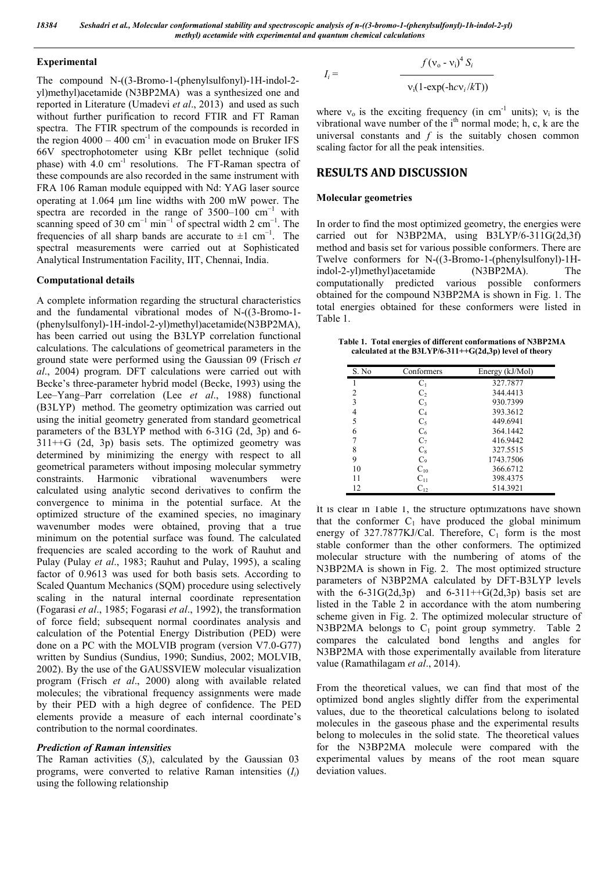#### **Experimental**

The compound N-((3-Bromo-1-(phenylsulfonyl)-1H-indol-2 yl)methyl)acetamide (N3BP2MA) was a synthesized one and reported in Literature (Umadevi *et al*., 2013) and used as such without further purification to record FTIR and FT Raman spectra. The FTIR spectrum of the compounds is recorded in the region  $4000 - 400$  cm<sup>-1</sup> in evacuation mode on Bruker IFS 66V spectrophotometer using KBr pellet technique (solid phase) with 4.0 cm<sup>-1</sup> resolutions. The FT-Raman spectra of these compounds are also recorded in the same instrument with FRA 106 Raman module equipped with Nd: YAG laser source operating at  $1.064$  µm line widths with 200 mW power. The spectra are recorded in the range of  $3500-100$  cm<sup>-1</sup> with scanning speed of 30 cm<sup>-1</sup> min<sup>-1</sup> of spectral width 2 cm<sup>-1</sup>. The frequencies of all sharp bands are accurate to  $\pm 1$  cm<sup>-1</sup>. The spectral measurements were carried out at Sophisticated Analytical Instrumentation Facility, IIT, Chennai, India.

#### **Computational details**

A complete information regarding the structural characteristics and the fundamental vibrational modes of N-((3-Bromo-1- (phenylsulfonyl)-1H-indol-2-yl)methyl)acetamide(N3BP2MA), has been carried out using the B3LYP correlation functional calculations. The calculations of geometrical parameters in the ground state were performed using the Gaussian 09 (Frisch *et al*., 2004) program. DFT calculations were carried out with Becke's three-parameter hybrid model (Becke, 1993) using the Lee–Yang–Parr correlation (Lee *et al*., 1988) functional (B3LYP) method. The geometry optimization was carried out using the initial geometry generated from standard geometrical parameters of the B3LYP method with 6-31G (2d, 3p) and 6- 311++G (2d, 3p) basis sets. The optimized geometry was determined by minimizing the energy with respect to all geometrical parameters without imposing molecular symmetry constraints. Harmonic vibrational wavenumbers were calculated using analytic second derivatives to confirm the convergence to minima in the potential surface. At the optimized structure of the examined species, no imaginary wavenumber modes were obtained, proving that a true minimum on the potential surface was found. The calculated frequencies are scaled according to the work of Rauhut and Pulay (Pulay *et al*., 1983; Rauhut and Pulay, 1995), a scaling factor of 0.9613 was used for both basis sets. According to Scaled Quantum Mechanics (SQM) procedure using selectively scaling in the natural internal coordinate representation (Fogarasi *et al*., 1985; Fogarasi *et al*., 1992), the transformation of force field; subsequent normal coordinates analysis and calculation of the Potential Energy Distribution (PED) were done on a PC with the MOLVIB program (version V7.0-G77) written by Sundius (Sundius, 1990; Sundius, 2002; MOLVIB, 2002). By the use of the GAUSSVIEW molecular visualization program (Frisch *et al*., 2000) along with available related molecules; the vibrational frequency assignments were made by their PED with a high degree of confidence. The PED elements provide a measure of each internal coordinate's contribution to the normal coordinates.

## *Prediction of Raman intensities*

The Raman activities (*Si*), calculated by the Gaussian 03 programs, were converted to relative Raman intensities (*Ii*) using the following relationship

$$
f(v_{o} - v_{i})^{4} S_{i}
$$

$$
v_i(1-\exp(-hc\nu_i/kT))
$$

where  $v_0$  is the exciting frequency (in cm<sup>-1</sup> units);  $v_i$  is the vibrational wave number of the i<sup>th</sup> normal mode; h, c, k are the universal constants and *f* is the suitably chosen common scaling factor for all the peak intensities.

# **RESULTS AND DISCUSSION**

## **Molecular geometries**

 $I_i =$ 

In order to find the most optimized geometry, the energies were carried out for N3BP2MA, using B3LYP/6-311G(2d,3f) method and basis set for various possible conformers. There are Twelve conformers for N-((3-Bromo-1-(phenylsulfonyl)-1Hindol-2-yl)methyl)acetamide (N3BP2MA). The computationally predicted various possible conformers obtained for the compound N3BP2MA is shown in Fig. 1. The total energies obtained for these conformers were listed in Table 1.

**Table 1. Total energies of different conformations of N3BP2MA calculated at the B3LYP/6-311++G(2d,3p) level of theory**

| S. No | Conformers     | Energy (kJ/Mol) |
|-------|----------------|-----------------|
| 1     | C <sub>1</sub> | 327.7877        |
| 2     | C <sub>2</sub> | 344.4413        |
| 3     | C <sub>3</sub> | 930.7399        |
| 4     | C <sub>4</sub> | 393.3612        |
| 5     | $C_5$          | 449.6941        |
| 6     | $C_6$          | 364.1442        |
| 7     | C <sub>7</sub> | 416.9442        |
| 8     | $C_8$          | 327.5515        |
| 9     | C <sub>9</sub> | 1743.7506       |
| 10    | $C_{10}$       | 366.6712        |
| 11    | $C_{11}$       | 398.4375        |
| 12    | $C_{12}$       | 514.3921        |

It is clear in Table 1, the structure optimizations have shown that the conformer  $C_1$  have produced the global minimum energy of  $327.7877KJ/Cal$ . Therefore,  $C_1$  form is the most stable conformer than the other conformers. The optimized molecular structure with the numbering of atoms of the N3BP2MA is shown in Fig. 2. The most optimized structure parameters of N3BP2MA calculated by DFT-B3LYP levels with the  $6-31G(2d,3p)$  and  $6-311++G(2d,3p)$  basis set are listed in the Table 2 in accordance with the atom numbering scheme given in Fig. 2. The optimized molecular structure of N3BP2MA belongs to  $C_1$  point group symmetry. Table 2 compares the calculated bond lengths and angles for N3BP2MA with those experimentally available from literature value (Ramathilagam *et al*., 2014).

From the theoretical values, we can find that most of the optimized bond angles slightly differ from the experimental values, due to the theoretical calculations belong to isolated molecules in the gaseous phase and the experimental results belong to molecules in the solid state. The theoretical values for the N3BP2MA molecule were compared with the experimental values by means of the root mean square deviation values.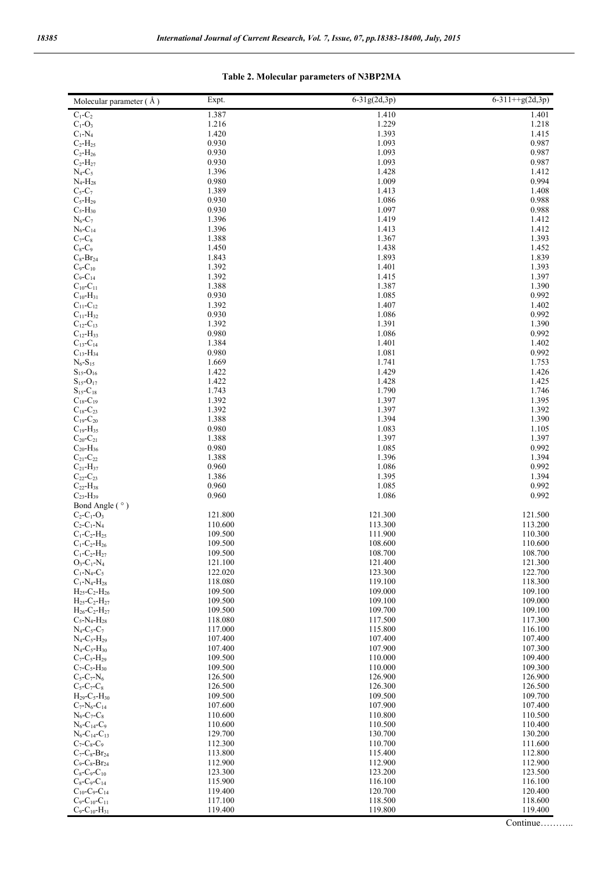#### Molecular parameter ( $\AA$ ) Expt. 6-31g(2d,3p) 6-311++g(2d,3p) 6-311++g(2d,3p)  $C_1 - C_2$  1.387 1.410 1.401  $C_1-O_3$  1.216 1.216 1.229 1.218  $C_1$ -N<sub>4</sub> 1.420 1.420 1.393 1.415  $C_2-H_{25}$  0.930 0.930 1.093 0.987  $C_2-H_{26}$  0.930 0.930 1.093 0.987  $C_2-H_{27}$  0.930 0.930 1.093 0.987  $N_4$ -C<sub>5</sub> 1.396 1.396 1.412  $N_4$ -H<sub>28</sub> 0.980 0.980 1.009 0.994  $C_5-C_7$  1.389 1.413 1.408  $C_5$ -H<sub>29</sub> 0.930 0.930 1.086 0.988  $C_5$ -H<sub>30</sub> 0.988 0.930 1.097 1.097 0.988  $N_6$ -C<sub>7</sub> 1.396 1.412 1.412  $N_6$ -C<sub>14</sub> 1.396 1.413 1.412  $C_7-C_8$  1.388 1.367 1.393  $C_8-C_9$  1.450 1.450 1.438 1.452  $C_8$ -Br<sub>24</sub> 1.839 1.839 1.839 1.839 1.839 1.839 1.839 1.839 1.839  $C_9 - C_{10}$  1.392 1.392 1.401 1.393  $C_9 - C_{14}$  1.392 1.415 1.397  $C_{10}$ -C<sub>11</sub> 1.388 1.388 1.387 1.390  $C_{10}$ -H<sub>31</sub> 0.930 0.930 1.085 0.992  $C_{11}$ -C<sub>12</sub> 1.402 1.392 1.407 1.402  $C_{11}$ -H<sub>32</sub> 0.930 0.930 1.086 0.992  $C_{12}$ -C<sub>13</sub> 1.392 1.392 1.391 1.391 1.392 1.391 1.392 1.392 1.392 1.392 1.392 1.392 1.392 1.392 1.392 1.392 1.392 1.392 1.392 1.392 1.392 1.392 1.392 1.392 1.392 1.392 1.392 1.392 1.392 1.392 1.392 1.392 1.392 1.392 1.3  $C_{12}$ -H<sub>33</sub> 0.980 0.980 1.086 0.992  $C_{13}$ -C<sub>14</sub> 1.384 1.401 1.402  $C_{13}$ -H<sub>34</sub> 0.980 0.980 1.081 0.992  $N_6 - S_{15}$  1.753  $S_{15}$ -O<sub>16</sub> 1.422 1.429 1.429 1.426  $S_{15}$ -O<sub>17</sub> 1.422 1.422 1.428 1.425  $S_{15}$ -C<sub>18</sub> 1.743 1.743 1.790 1.746  $C_{18}$ -C<sub>19</sub> 1.392 1.392 1.397 1.397 1.395  $C_{18}$ -C<sub>23</sub> 1.392 1.392 1.397 1.392  $C_{19}$ -C<sub>20</sub> 1.388 1.388 1.394 1.394 1.390 1.390 1.390 1.390 1.390 1.390 1.390 1.390 1.390 1.390 1.390 1.390 1.390 1.390 1.390 1.390 1.390 1.390 1.390 1.390 1.390 1.390 1.390 1.390 1.390 1.390 1.390 1.390 1.390 1.390 1.3  $C_{19}$ -H<sub>35</sub> 1.105 1.105 1.105 1.105 1.083 1.105  $C_{20}$ -C<sub>21</sub> 1.388 1.388 1.397 1.397 1.397  $C_{20}$ -H<sub>36</sub> 0.980 0.980 1.085 0.992  $C_{21}$ -C<sub>22</sub> 1.388 1.388 1.396 1.396 1.394  $C_{21}$ -H<sub>37</sub> 0.960 0.960 1.086 0.992  $C_{22}$ -C<sub>23</sub> 1.394 1.386 1.395 1.395 1.394 1.395  $C_{22}$ -H<sub>38</sub> 0.960 0.960 1.085 0.992  $C_{23}$ -H<sub>39</sub> 0.960 0.960 1.086 0.992 Bond Angle ( $\degree$ )<br>C<sub>2</sub>-C<sub>1</sub>-O<sub>3</sub>  $C_2 - C_1 - O_3$  121.800 121.300 121.300 121.500  $C_2-C_1-N_4$  110.600 113.300 113.200 113.200  $C_1 - C_2 - H_{25}$  109.500 111.900 111.900 110.300  $C_1 - C_2 - H_{26}$  109.500 108.600 108.600 110.600  $C_1 - C_2 - H_{27}$  109.500 108.700 108.700 108.700  $O_3$ -C<sub>1</sub>-N<sub>4</sub> 121.100 121.100 121.400 121.300  $C_1$ -N<sub>4</sub>-C<sub>5</sub> 122.020 123.300 123.300 123.300 122.700  $C_1-N_4-H_{28}$  118.080 119.100 118.300  $H_{25}$ -C<sub>2</sub>-H<sub>26</sub> 109.100 109.500 109.000 109.000 109.000 109.000 109.000 109.000 109.000 109.000 109.000 109.100  $H_{25}$ -C<sub>2</sub>-H<sub>27</sub> 109.000 109.500 109.100 109.100 109.100 109.100  $H_{26}$ -C<sub>2</sub>-H<sub>27</sub> 109.100 109.500 109.700 109.700 109.700 109.700  $C_5$ -N<sub>4</sub>-H<sub>28</sub> 117.300 117.300 117.300 117.300  $N_4$ -C<sub>5</sub>-C<sub>7</sub> 116.100 115.800 115.800 116.100  $N_4$ -C<sub>5</sub>-H<sub>29</sub> 107.400 107.400 107.400 107.400 107.400  $N_4$ -C<sub>5</sub>-H<sub>30</sub> 107.900 107.900 107.900 107.900 107.900  $C_7-C_5-H_{29}$  109.500 109.500 110.000 1009.400  $C_7-C_5-H_{30}$  109.500 109.500 110.000 109.300  $C_5-C_7-N_6$  126.500 126.900 126.900 126.900  $C_5-C_7-C_8$  126.500 126.300 126.300 126.300  $H_{29}$ -C<sub>5</sub>-H<sub>30</sub> 109.700 109.500 109.500 109.700  $C_7$ -N<sub>6</sub>-C<sub>14</sub> 107.600 107.900 107.900 107.900 107.900  $N_6$ -C<sub>7</sub>-C<sub>8</sub> 110.600 110.600 110.800 110.800 110.500  $N_6$ -C<sub>14</sub>-C<sub>9</sub> 110.600 110.600 110.500 110.500 110.400  $N_6$ -C<sub>14</sub>-C<sub>13</sub> 129.700 130.200 130.700 130.200  $C_7-C_8-C_9$  112.300 110.700 111.600  $C_7-C_8-Br_{24}$  113.800 115.400 115.400 115.400 112.800  $C_9 - C_8 - Br_{24}$  112.900 112.900 112.900 112.900  $C_8-C_9-C_{10}$  123.300 123.200 123.500  $C_8-C_9-C_{14}$  115.900 116.100 116.100 116.100 116.100  $C_{10}$ -C<sub>9</sub>-C<sub>14</sub> 119.400 120.700 120.700 120.400

 $C_9 - C_{10} - C_{11}$  117.100 118.500 118.600 118.600  $C_9-C_{10}H_{31}$  119.400 119.800 119.800 119.400

#### **Table 2. Molecular parameters of N3BP2MA**

Continue………..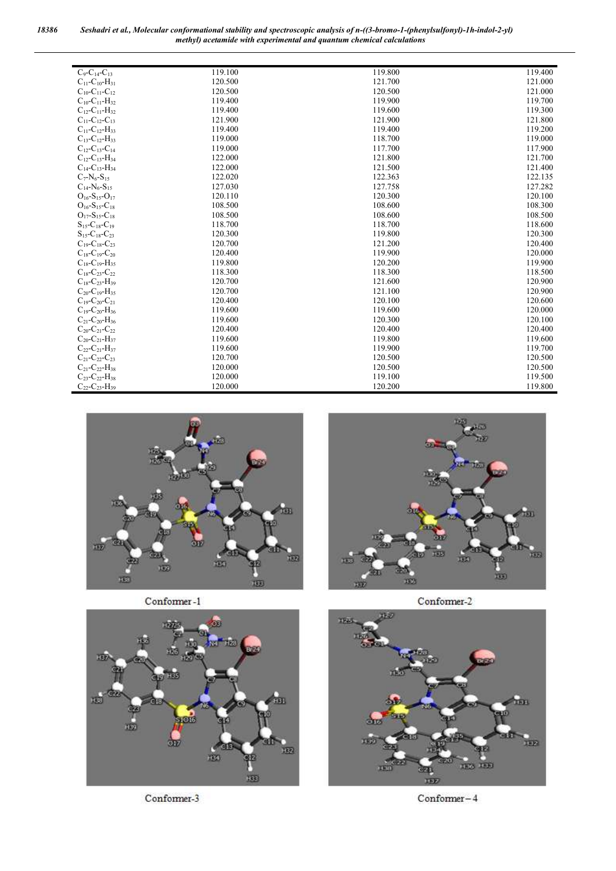*18386 Seshadri et al., Molecular conformational stability and spectroscopic analysis of n-((3-bromo-1-(phenylsulfonyl)-1h-indol-2-yl) methyl) acetamide with experimental and quantum chemical calculations*

| $C_9 - C_{14} - C_{13}$                    | 119.100 | 119.800 | 119.400 |
|--------------------------------------------|---------|---------|---------|
| $C_{11}$ - $C_{10}$ - $H_{31}$             | 120.500 | 121.700 | 121.000 |
| $C_{10}$ - $C_{11}$ - $C_{12}$             | 120.500 | 120.500 | 121.000 |
| $C_{10}$ - $C_{11}$ - $H_{32}$             | 119.400 | 119.900 | 119.700 |
| $C_{12}$ - $C_{11}$ - $H_{32}$             | 119.400 | 119.600 | 119.300 |
| $C_{11}$ - $C_{12}$ - $C_{13}$             | 121.900 | 121.900 | 121.800 |
| $C_{11}$ - $C_{12}$ -H <sub>33</sub>       | 119.400 | 119.400 | 119.200 |
| $C_{13}$ - $C_{12}$ -H <sub>33</sub>       | 119.000 | 118.700 | 119.000 |
| $C_{12}$ -C <sub>13</sub> -C <sub>14</sub> | 119.000 | 117.700 | 117.900 |
| $C_{12}$ - $C_{13}$ -H <sub>34</sub>       | 122.000 | 121.800 | 121.700 |
| $C_{14}$ - $C_{13}$ -H <sub>34</sub>       | 122.000 | 121.500 | 121.400 |
| $C_7-N_6-S_{15}$                           | 122.020 | 122.363 | 122.135 |
| $C_{14}$ -N <sub>6</sub> -S <sub>15</sub>  | 127.030 | 127.758 | 127.282 |
| $O_{16}$ -S <sub>15</sub> -O <sub>17</sub> | 120.110 | 120.300 | 120.100 |
| $O_{16} - S_{15} - C_{18}$                 | 108.500 | 108.600 | 108.300 |
| $O_{17} - S_{15} - C_{18}$                 | 108.500 | 108.600 | 108.500 |
| $S_{15}$ -C <sub>18</sub> -C <sub>19</sub> | 118.700 | 118.700 | 118.600 |
| $S_{15}$ -C <sub>18</sub> -C <sub>23</sub> | 120.300 | 119.800 | 120.300 |
| $C_{19}$ -C <sub>18</sub> -C <sub>23</sub> | 120.700 | 121.200 | 120.400 |
| $C_{18}$ -C <sub>19</sub> -C <sub>20</sub> | 120.400 | 119.900 | 120,000 |
| $C_{18}$ - $C_{19}$ -H <sub>35</sub>       | 119.800 | 120.200 | 119.900 |
| $C_{18}$ - $C_{23}$ - $C_{22}$             | 118.300 | 118.300 | 118.500 |
| $C_{18}$ - $C_{23}$ - $H_{39}$             | 120.700 | 121.600 | 120.900 |
| $C_{20}$ - $C_{19}$ -H <sub>35</sub>       | 120.700 | 121.100 | 120.900 |
| $C_{19}$ - $C_{20}$ - $C_{21}$             | 120.400 | 120.100 | 120.600 |
| $C_{19}$ - $C_{20}$ -H <sub>36</sub>       | 119.600 | 119.600 | 120.000 |
| $C_{21}$ - $C_{20}$ -H <sub>36</sub>       | 119.600 | 120.300 | 120.100 |
| $C_{20}$ - $C_{21}$ - $C_{22}$             | 120.400 | 120.400 | 120.400 |
| $C_{20}$ - $C_{21}$ - $H_{37}$             | 119.600 | 119.800 | 119.600 |
| $C_{22}$ - $C_{21}$ -H <sub>37</sub>       | 119.600 | 119.900 | 119.700 |
| $C_{21}$ - $C_{22}$ - $C_{23}$             | 120.700 | 120.500 | 120.500 |
| $C_{21}$ - $C_{22}$ - $H_{38}$             | 120.000 | 120.500 | 120.500 |
| $C_{23}$ - $C_{22}$ - $H_{38}$             | 120.000 | 119.100 | 119.500 |
| $C_{22}$ - $C_{23}$ -H <sub>39</sub>       | 120.000 | 120.200 | 119.800 |



Conformer-1



Conformer-3



Conformer-2



 $Conformer-4$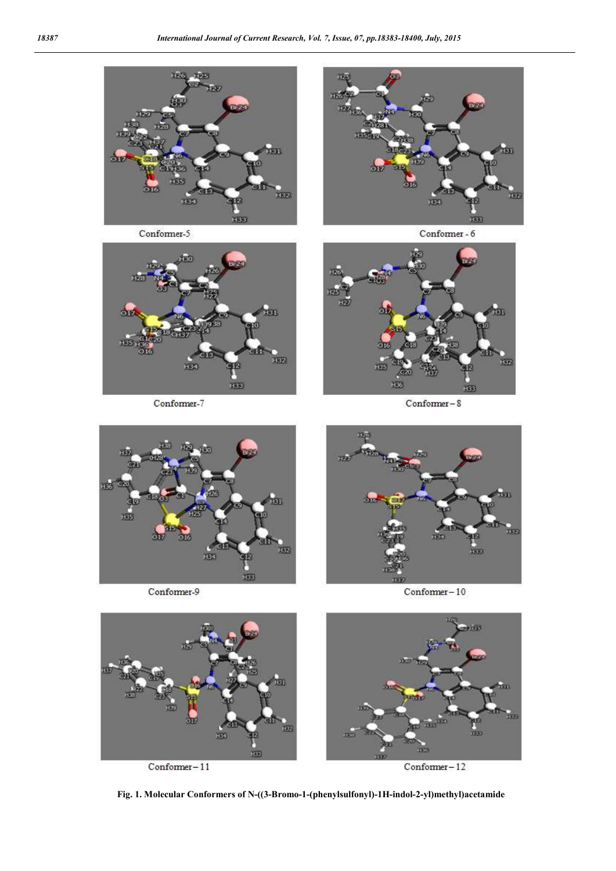

Conformer-5



Conformer-7



Conformer - 6



 $\mbox{Conformer}-8$ 



Conformer-9



 $Conformer-10$ 



**Fig. 1. Molecular Conformers of N-((3-Bromo-1-(phenylsulfonyl)-1H-indol-2-yl)methyl)acetamide**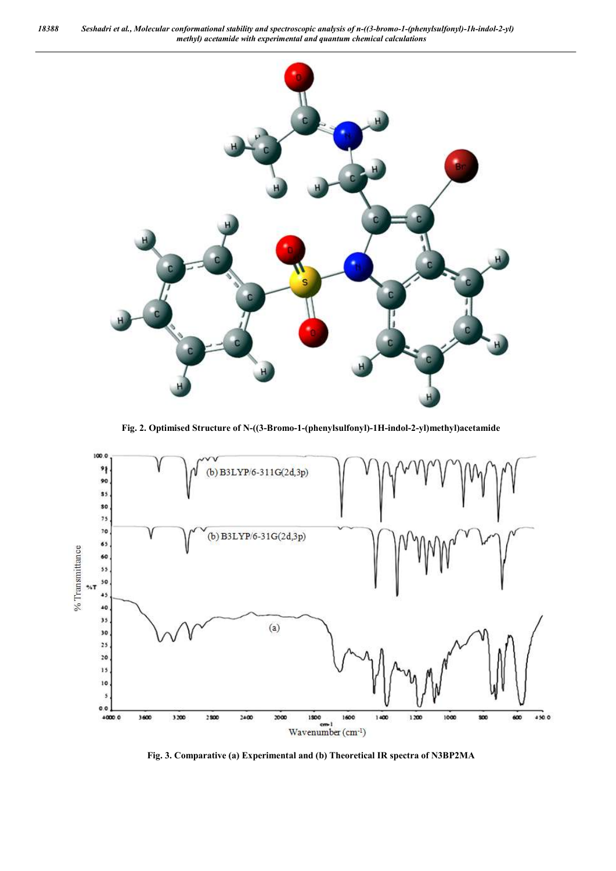*18388 Seshadri et al., Molecular conformational stability and spectroscopic analysis of n-((3-bromo-1-(phenylsulfonyl)-1h-indol-2-yl) methyl) acetamide with experimental and quantum chemical calculations*



**Fig. 2. Optimised Structure of N-((3-Bromo-1-(phenylsulfonyl)-1H-indol-2-yl)methyl)acetamide**



**Fig. 3. Comparative (a) Experimental and (b) Theoretical IR spectra of N3BP2MA**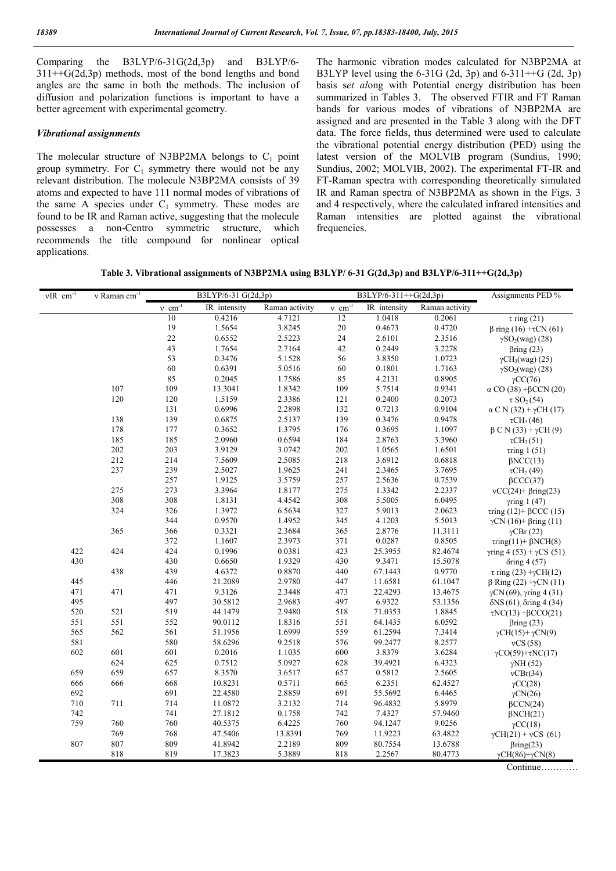Comparing the B3LYP/6-31G(2d,3p) and B3LYP/6- 311++G(2d,3p) methods, most of the bond lengths and bond angles are the same in both the methods. The inclusion of diffusion and polarization functions is important to have a better agreement with experimental geometry.

#### *Vibrational assignments*

The molecular structure of N3BP2MA belongs to  $C_1$  point group symmetry. For  $C_1$  symmetry there would not be any relevant distribution. The molecule N3BP2MA consists of 39 atoms and expected to have 111 normal modes of vibrations of the same A species under  $C_1$  symmetry. These modes are found to be IR and Raman active, suggesting that the molecule possesses a non-Centro symmetric structure, which recommends the title compound for nonlinear optical applications.

The harmonic vibration modes calculated for N3BP2MA at B3LYP level using the 6-31G (2d, 3p) and 6-311++G (2d, 3p) basis s*et al*ong with Potential energy distribution has been summarized in Tables 3. The observed FTIR and FT Raman bands for various modes of vibrations of N3BP2MA are assigned and are presented in the Table 3 along with the DFT data. The force fields, thus determined were used to calculate the vibrational potential energy distribution (PED) using the latest version of the MOLVIB program (Sundius, 1990; Sundius, 2002; MOLVIB, 2002). The experimental FT-IR and FT-Raman spectra with corresponding theoretically simulated IR and Raman spectra of N3BP2MA as shown in the Figs. 3 and 4 respectively, where the calculated infrared intensities and Raman intensities are plotted against the vibrational frequencies.

| Table 3. Vibrational assignments of N3BP2MA using B3LYP/6-31 G(2d,3p) and B3LYP/6-311++G(2d,3p) |  |  |  |
|-------------------------------------------------------------------------------------------------|--|--|--|
|-------------------------------------------------------------------------------------------------|--|--|--|

| $vIR$ cm <sup>-1</sup> | v Raman cm <sup>-1</sup> |                      | B3LYP/6-31 G(2d,3p) |                | B3LYP/6-311++G(2d,3p) |              |                | Assignments PED %                                |
|------------------------|--------------------------|----------------------|---------------------|----------------|-----------------------|--------------|----------------|--------------------------------------------------|
|                        |                          | $v$ cm <sup>-1</sup> | IR intensity        | Raman activity | $v \cdot cm^{-1}$     | IR intensity | Raman activity |                                                  |
|                        |                          | 10                   | 0.4216              | 4.7121         | 12                    | 1.0418       | 0.2061         | $\tau$ ring (21)                                 |
|                        |                          | 19                   | 1.5654              | 3.8245         | $20\,$                | 0.4673       | 0.4720         | $β$ ring (16) +τCN (61)                          |
|                        |                          | 22                   | 0.6552              | 2.5223         | 24                    | 2.6101       | 2.3516         | $\gamma SO_2(wag)$ (28)                          |
|                        |                          | 43                   | 1.7654              | 2.7164         | 42                    | 0.2449       | 3.2278         | $\beta$ ring (23)                                |
|                        |                          | 53                   | 0.3476              | 5.1528         | 56                    | 3.8350       | 1.0723         | $\gamma$ CH <sub>3</sub> (wag) (25)              |
|                        |                          | 60                   | 0.6391              | 5.0516         | 60                    | 0.1801       | 1.7163         | $\gamma SO_2(wag)$ (28)                          |
|                        |                          | 85                   | 0.2045              | 1.7586         | 85                    | 4.2131       | 0.8905         | $\gamma CC(76)$                                  |
|                        | 107                      | 109                  | 13.3041             | 1.8342         | 109                   | 5.7514       | 0.9341         | $\alpha$ CO (38) + $\beta$ CCN (20)              |
|                        | 120                      | 120                  | 1.5159              | 2.3386         | 121                   | 0.2400       | 0.2073         | $\tau$ SO <sub>2</sub> (54)                      |
|                        |                          | 131                  | 0.6996              | 2.2898         | 132                   | 0.7213       | 0.9104         | $\alpha$ C N (32) + $\gamma$ CH (17)             |
|                        | 138                      | 139                  | 0.6875              | 2.5137         | 139                   | 0.3476       | 0.9478         | $\tau$ CH <sub>3</sub> (46)                      |
|                        | 178                      | 177                  | 0.3652              | 1.3795         | 176                   | 0.3695       | 1.1097         | $\beta$ C N (33) + $\gamma$ CH (9)               |
|                        | 185                      | 185                  | 2.0960              | 0.6594         | 184                   | 2.8763       | 3.3960         | $\tau CH_3(51)$                                  |
|                        | 202                      | 203                  | 3.9129              | 3.0742         | 202                   | 1.0565       | 1.6501         | $\tau$ ring 1 (51)                               |
|                        | 212                      | 214                  | 7.5609              | 2.5085         | 218                   | 3.6912       | 0.6818         | $\beta NCC(13)$                                  |
|                        | 237                      | 239                  | 2.5027              | 1.9625         | 241                   | 2.3465       | 3.7695         | $\tau$ CH <sub>2</sub> (49)                      |
|                        |                          | 257                  | 1.9125              | 3.5759         | 257                   | 2.5636       | 0.7539         | $\beta$ CCC(37)                                  |
|                        | 275                      | 273                  | 3.3964              | 1.8177         | 275                   | 1.3342       | 2.2337         | $vCC(24)$ + $\beta$ ring(23)                     |
|                        | 308                      | 308                  | 1.8131              | 4.4542         | 308                   | 5.5005       | 6.0495         | $\gamma$ ring 1 (47)                             |
|                        | 324                      | 326                  | 1.3972              | 6.5634         | 327                   | 5.9013       | 2.0623         | $\tau$ ring (12)+ $\beta$ CCC (15)               |
|                        |                          | 344                  | 0.9570              | 1.4952         | 345                   | 4.1203       | 5.5013         | $\gamma$ CN (16)+ $\beta$ ring (11)              |
|                        | 365                      | 366                  | 0.3321              | 2.3684         | 365                   | 2.8776       | 11.3111        | $\gamma$ CBr (22)                                |
|                        |                          | 372                  | 1.1607              | 2.3973         | 371                   | 0.0287       | 0.8505         | $\tau$ ring(11)+ $\beta$ NCH(8)                  |
| 422                    | 424                      | 424                  | 0.1996              | 0.0381         | 423                   | 25.3955      | 82.4674        | $\gamma$ ring 4 (53) + γCS (51)                  |
| 430                    |                          | 430                  | 0.6650              | 1.9329         | 430                   | 9.3471       | 15.5078        | $\delta$ ring 4 (57)                             |
|                        | 438                      | 439                  | 4.6372              | 0.8870         | 440                   | 67.1443      | 0.9770         | $\tau$ ring (23) + $\gamma$ CH(12)               |
| 445                    |                          | 446                  | 21.2089             | 2.9780         | 447                   | 11.6581      | 61.1047        | $β$ Ring (22) +γCN (11)                          |
| 471                    | 471                      | 471                  | 9.3126              | 2.3448         | 473                   | 22.4293      | 13.4675        | $γCN(69)$ , γring 4(31)                          |
| 495                    |                          | 497                  | 30.5812             | 2.9683         | 497                   | 6.9322       | 53.1356        | $\delta$ NS (61) $\delta$ ring 4 (34)            |
| 520                    | 521                      | 519                  | 44.1479             | 2.9480         | 518                   | 71.0353      | 1.8845         | $\tau NC(13) + \beta CCO(21)$                    |
| 551                    | 551                      | 552                  | 90.0112             | 1.8316         | 551                   | 64.1435      | 6.0592         | $\beta$ ring (23)                                |
| 565                    | 562                      | 561                  | 51.1956             | 1.6999         | 559                   | 61.2594      | 7.3414         | $\gamma$ CH(15)+ $\gamma$ CN(9)                  |
| 581                    |                          | 580                  | 58.6296             | 9.2518         | 576                   | 99.2477      | 8.2577         | vCS(58)                                          |
| 602                    | 601                      | 601                  | 0.2016              | 1.1035         | 600                   | 3.8379       | 3.6284         | $\gamma CO(59)+\tau NC(17)$                      |
|                        | 624                      | 625                  | 0.7512              | 5.0927         | 628                   | 39.4921      | 6.4323         | $\gamma$ NH (52)                                 |
| 659                    | 659                      | 657                  | 8.3570              | 3.6517         | 657                   | 0.5812       | 2.5605         | vCBr(34)                                         |
| 666                    | 666                      | 668                  | 10.8231             | 0.5711         | 665                   | 6.2351       | 62.4527        | $\gamma CC(28)$                                  |
| 692                    |                          | 691                  | 22.4580             | 2.8859         | 691                   | 55.5692      | 6.4465         | $\gamma$ CN(26)                                  |
| $710\,$                | 711                      | 714                  | 11.0872             | 3.2132         | 714                   | 96.4832      | 5.8979         | $\beta$ CCN(24)                                  |
| 742                    |                          | 741                  | 27.1812             | 0.1758         | 742                   | 7.4327       | 57.9460        | $\beta$ NCH(21)                                  |
| 759                    | 760                      | 760                  | 40.5375             | 6.4225         | 760                   | 94.1247      | 9.0256         |                                                  |
|                        | 769                      | 768                  | 47.5406             | 13.8391        | 769                   | 11.9223      | 63.4822        | $\gamma CC(18)$                                  |
| 807                    | 807                      | 809                  | 41.8942             | 2.2189         | 809                   | 80.7554      | 13.6788        | $\gamma$ CH(21) + vCS (61)                       |
|                        | 818                      | 819                  | 17.3823             | 5.3889         | 818                   | 2.2567       | 80.4773        | $\beta$ ring(23)<br>$\gamma CH(86)+\gamma CN(8)$ |
|                        |                          |                      |                     |                |                       |              |                |                                                  |

Continue…………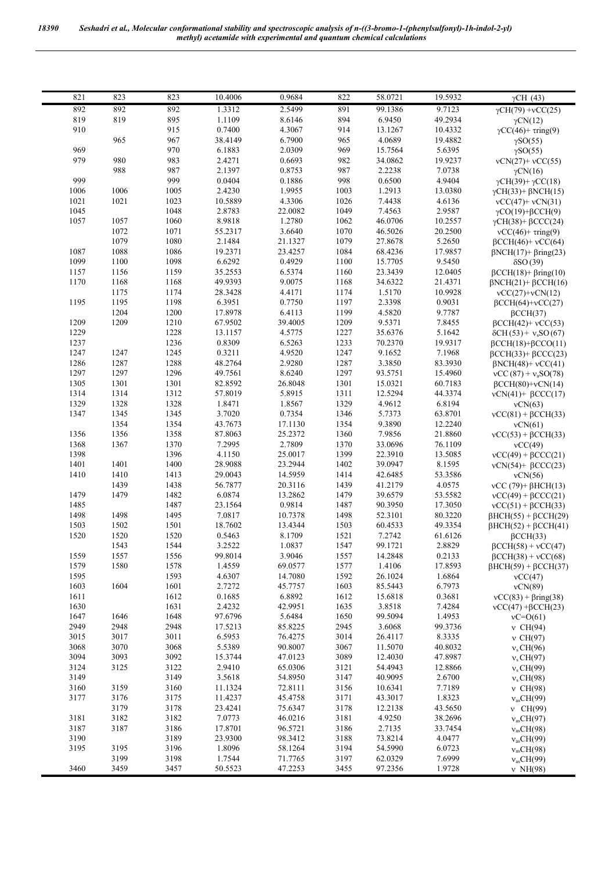| 821          | 823          | 823          | 10.4006            | 0.9684             | 822          | 58.0721            | 19.5932           | $\gamma$ CH (43)                     |
|--------------|--------------|--------------|--------------------|--------------------|--------------|--------------------|-------------------|--------------------------------------|
| 892          | 892          | 892          | 1.3312             | 2.5499             | 891          | 99.1386            | 9.7123            | $\gamma$ CH(79) + vCC(25)            |
| 819          | 819          | 895          | 1.1109             | 8.6146             | 894          | 6.9450             | 49.2934           | $\gamma$ CN(12)                      |
| 910          |              | 915          | 0.7400             | 4.3067             | 914          | 13.1267            | 10.4332           | $\gamma CC(46) + \tau ring(9)$       |
|              | 965          | 967          | 38.4149            | 6.7900             | 965          | 4.0689             | 19.4882           | $\gamma SO(55)$                      |
| 969          |              | 970          | 6.1883             | 2.0309             | 969          | 15.7564            | 5.6395            | $\gamma SO(55)$                      |
| 979          | 980          | 983          | 2.4271             | 0.6693             | 982          | 34.0862            | 19.9237           | $vCN(27)+vCC(55)$                    |
|              | 988          | 987          | 2.1397             | 0.8753             | 987          | 2.2238             | 7.0738            | $\gamma$ CN(16)                      |
| 999          |              | 999          | 0.0404             | 0.1886             | 998          | 0.6500             | 4.9404            | $\gamma$ CH(39)+ $\gamma$ CC(18)     |
| 1006         | 1006         | 1005         | 2.4230             | 1.9955             | 1003         | 1.2913             | 13.0380           | $\gamma$ CH(33)+ $\beta$ NCH(15)     |
| 1021         | 1021         | 1023         | 10.5889            | 4.3306             | 1026         | 7.4438             | 4.6136            | $vCC(47)+vCN(31)$                    |
| 1045         |              | 1048         | 2.8783             | 22.0082            | 1049         | 7.4563             | 2.9587            | $\gamma CO(19) + \beta CCH(9)$       |
| 1057         | 1057         | 1060         | 8.9818             | 1.2780             | 1062         | 46.0706            | 10.2557           | $\gamma$ CH(38)+ $\beta$ CCC(24)     |
|              | 1072         | 1071         | 55.2317            | 3.6640             | 1070         | 46.5026            | 20.2500           | $vCC(46) + \tau ring(9)$             |
|              | 1079         | 1080         | 2.1484             | 21.1327            | 1079         | 27.8678            | 5.2650            | $\beta$ CCH(46)+ vCC(64)             |
| 1087         | 1088         | 1086         | 19.2371            | 23.4257            | 1084         | 68.4236            | 17.9857           | $\beta$ NCH(17)+ $\beta$ ring(23)    |
| 1099         | 1100         | 1098         | 6.6292             | 0.4929             | 1100         | 15.7705            | 9.5450            | $\delta$ SO (39)                     |
| 1157         | 1156         | 1159         | 35.2553            | 6.5374             | 1160         | 23.3439            | 12.0405           | $\beta$ CCH(18)+ $\beta$ ring(10)    |
| 1170         | 1168         | 1168         | 49.9393            | 9.0075             | 1168         | 34.6322            | 21.4371           | $\beta$ NCH(21)+ $\beta$ CCH(16)     |
|              | 1175         | 1174         | 28.3428            | 4.4171             | 1174         | 1.5170             | 10.9928           | $vCC(27)+vCN(12)$                    |
| 1195         | 1195         | 1198         | 6.3951             | 0.7750             | 1197         | 2.3398             | 0.9031            | $BCCH(64)+\nu CC(27)$                |
|              | 1204         | 1200         | 17.8978            | 6.4113             | 1199         | 4.5820             | 9.7787            | $\beta$ CCH(37)                      |
| 1209         | 1209         | 1210         | 67.9502            | 39.4005            | 1209         | 9.5371             | 7.8455            | $\beta$ CCH(42)+ vCC(53)             |
| 1229         |              | 1228         | 13.1157            | 4.5775             | 1227         | 35.6376            | 5.1642            | $\delta$ CH(53) + $v_s$ SO(67)       |
| 1237         |              | 1236         | 0.8309             | 6.5263             | 1233         | 70.2370            | 19.9317           | $\beta$ CCH(18)+ $\beta$ CCO(11)     |
| 1247         | 1247         | 1245         | 0.3211             | 4.9520             | 1247         | 9.1652             | 7.1968            | $\beta$ CCH(33)+ $\beta$ CCC(23)     |
| 1286         | 1287         | 1288         | 48.2764            | 2.9280             | 1287         | 3.3850             | 83.3930           | $\beta$ NCH(48)+ vCC(41)             |
| 1297         | 1297         | 1296         | 49.7561            | 8.6240             | 1297         | 93.5751            | 15.4960           | $vCC(87) + vaSO(78)$                 |
| 1305         | 1301         | 1301         | 82.8592            | 26.8048            | 1301         | 15.0321            | 60.7183           | $\beta$ CCH(80)+vCN(14)              |
| 1314<br>1329 | 1314<br>1328 | 1312<br>1328 | 57.8019<br>1.8471  | 5.8915<br>1.8567   | 1311<br>1329 | 12.5294<br>4.9612  | 44.3374<br>6.8194 | $vCN(41)$ + $\beta$ CCC(17)          |
| 1347         | 1345         | 1345         | 3.7020             | 0.7354             | 1346         | 5.7373             | 63.8701           | vCN(63)                              |
|              | 1354         | 1354         | 43.7673            | 17.1130            | 1354         | 9.3890             | 12.2240           | $vCC(81) + \beta CCH(33)$<br>vCN(61) |
| 1356         | 1356         | 1358         | 87.8063            | 25.2372            | 1360         | 7.9856             | 21.8860           | $vCC(53) + \beta CCH(33)$            |
| 1368         | 1367         | 1370         | 7.2995             | 2.7809             | 1370         | 33.0696            | 76.1109           | vCC(49)                              |
| 1398         |              | 1396         | 4.1150             | 25.0017            | 1399         | 22.3910            | 13.5085           | $vCC(49) + BCCC(21)$                 |
| 1401         | 1401         | 1400         | 28.9088            | 23.2944            | 1402         | 39.0947            | 8.1595            | $vCN(54)$ + $\beta$ CCC(23)          |
| 1410         | 1410         | 1413         | 29.0043            | 14.5959            | 1414         | 42.6485            | 53.3586           | vCN(56)                              |
|              | 1439         | 1438         | 56.7877            | 20.3116            | 1439         | 41.2179            | 4.0575            | $vCC(79)$ + $\beta$ HCH(13)          |
| 1479         | 1479         | 1482         | 6.0874             | 13.2862            | 1479         | 39.6579            | 53.5582           | $vCC(49) + \betaCCC(21)$             |
| 1485         |              | 1487         | 23.1564            | 0.9814             | 1487         | 90.3950            | 17.3050           | $vCC(51) + \beta CCH(33)$            |
| 1498         | 1498         | 1495         | 7.0817             | 10.7378            | 1498         | 52.3101            | 80.3220           | $\beta$ HCH(55) + $\beta$ CCH(29)    |
| 1503         | 1502         | 1501         | 18.7602            | 13.4344            | 1503         | 60.4533            | 49.3354           | $\beta$ HCH(52) + $\beta$ CCH(41)    |
| 1520         | 1520         | 1520         | 0.5463             | 8.1709             | 1521         | 7.2742             | 61.6126           | $\beta$ CCH(33)                      |
|              | 1543         | 1544         | 3.2522             | 1.0837             | 1547         | 99.1721            | 2.8829            | $\beta$ CCH(58) + vCC(47)            |
| 1559         | 1557         | 1556         | 99.8014            | 3.9046             | 1557         | 14.2848            | 0.2133            | $\beta$ CCH(38) + vCC(68)            |
| 1579         | 1580         | 1578         | 1.4559             | 69.0577            | 1577         | 1.4106             | 17.8593           | $\beta$ HCH(59) + $\beta$ CCH(37)    |
| 1595         |              | 1593         | 4.6307             | 14.7080            | 1592         | 26.1024            | 1.6864            | vCC(47)                              |
| 1603         | 1604         | 1601         | 2.7272             | 45.7757            | 1603         | 85.5443            | 6.7973            | vCN(89)                              |
| 1611         |              | 1612         | 0.1685             | 6.8892             | 1612         | 15.6818            | 0.3681            | $vCC(83) + \beta ring(38)$           |
| 1630         |              | 1631         | 2.4232             | 42.9951            | 1635         | 3.8518             | 7.4284            | $vCC(47) + \beta CCH(23)$            |
| 1647         | 1646         | 1648         | 97.6796            | 5.6484             | 1650         | 99.5094            | 1.4953            | $vC = O(61)$                         |
| 2949         | 2948         | 2948         | 17.5213            | 85.8225            | 2945         | 3.6068             | 99.3736           | $v$ CH $(94)$                        |
| 3015         | 3017         | 3011         | 6.5953             | 76.4275            | 3014         | 26.4117            | 8.3335            | $v$ CH(97)                           |
| 3068         | 3070         | 3068         | 5.5389             | 90.8007            | 3067         | 11.5070            | 40.8032           | $v_s$ CH(96)                         |
| 3094         | 3093         | 3092         | 15.3744            | 47.0123            | 3089         | 12.4030            | 47.8987           | $v_s$ CH(97)                         |
| 3124         | 3125         | 3122         | 2.9410             | 65.0306            | 3121         | 54.4943            | 12.8866           | $v_s$ CH(99)                         |
| 3149         |              | 3149         | 3.5618             | 54.8950            | 3147         | 40.9095            | 2.6700            | $v_s$ CH(98)                         |
| 3160<br>3177 | 3159<br>3176 | 3160<br>3175 | 11.1324<br>11.4237 | 72.8111<br>45.4758 | 3156<br>3171 | 10.6341<br>43.3017 | 7.7189<br>1.8323  | $v$ CH(98)                           |
|              | 3179         | 3178         | 23.4241            | 75.6347            | 3178         | 12.2138            | 43.5650           | $v_{as}CH(99)$<br>$v$ CH(99)         |
| 3181         | 3182         | 3182         | 7.0773             | 46.0216            | 3181         | 4.9250             | 38.2696           | $v_{as}CH(97)$                       |
| 3187         | 3187         | 3186         | 17.8701            | 96.5721            | 3186         | 2.7135             | 33.7454           | $v_{as}CH(98)$                       |
| 3190         |              | 3189         | 23.9300            | 98.3412            | 3188         | 73.8214            | 4.0477            | $v_{as}CH(99)$                       |
| 3195         | 3195         | 3196         | 1.8096             | 58.1264            | 3194         | 54.5990            | 6.0723            | $v_{as}CH(98)$                       |
|              | 3199         | 3198         | 1.7544             | 71.7765            | 3197         | 62.0329            | 7.6999            | $v_{as}CH(99)$                       |
| 3460         | 3459         | 3457         | 50.5523            | 47.2253            | 3455         | 97.2356            | 1.9728            | $v$ NH(98)                           |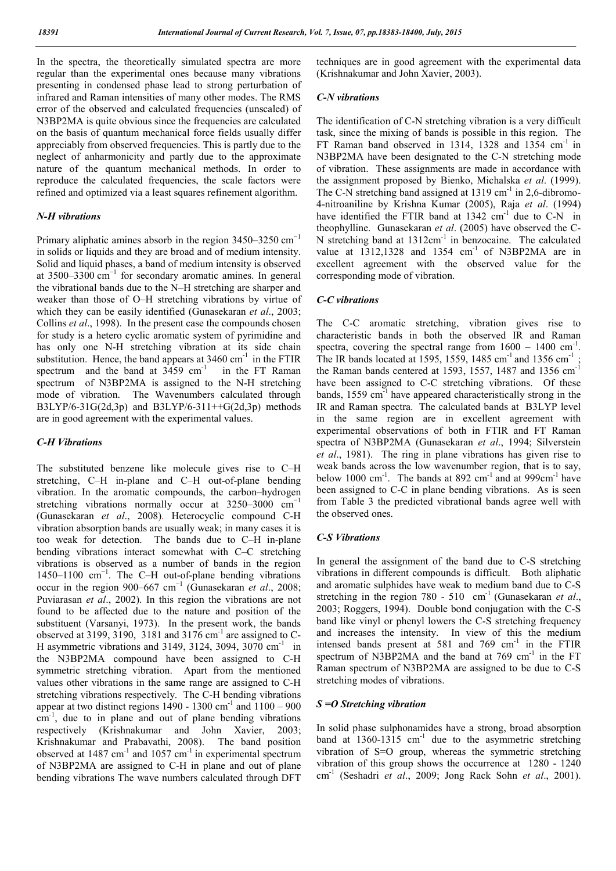In the spectra, the theoretically simulated spectra are more regular than the experimental ones because many vibrations presenting in condensed phase lead to strong perturbation of infrared and Raman intensities of many other modes. The RMS error of the observed and calculated frequencies (unscaled) of N3BP2MA is quite obvious since the frequencies are calculated on the basis of quantum mechanical force fields usually differ appreciably from observed frequencies. This is partly due to the neglect of anharmonicity and partly due to the approximate nature of the quantum mechanical methods. In order to reproduce the calculated frequencies, the scale factors were refined and optimized via a least squares refinement algorithm.

#### *N-H vibrations*

Primary aliphatic amines absorb in the region  $3450-3250$  cm<sup>-1</sup> in solids or liquids and they are broad and of medium intensity. Solid and liquid phases, a band of medium intensity is observed at 3500–3300 cm−1 for secondary aromatic amines. In general the vibrational bands due to the N–H stretching are sharper and weaker than those of O–H stretching vibrations by virtue of which they can be easily identified (Gunasekaran *et al*., 2003; Collins *et al*., 1998). In the present case the compounds chosen for study is a hetero cyclic aromatic system of pyrimidine and has only one N-H stretching vibration at its side chain substitution. Hence, the band appears at  $3460 \text{ cm}^{-1}$  in the FTIR spectrum and the band at  $3459 \text{ cm}^{-1}$  in the FT Raman spectrum of N3BP2MA is assigned to the N-H stretching mode of vibration. The Wavenumbers calculated through B3LYP/6-31G(2d,3p) and B3LYP/6-311++G(2d,3p) methods are in good agreement with the experimental values.

## *C-H Vibrations*

The substituted benzene like molecule gives rise to C–H stretching, C–H in-plane and C–H out-of-plane bending vibration. In the aromatic compounds, the carbon–hydrogen stretching vibrations normally occur at  $3250-3000$  cm<sup>-1</sup> (Gunasekaran *et al*., 2008). Heterocyclic compound C-H vibration absorption bands are usually weak; in many cases it is too weak for detection. The bands due to C–H in-plane bending vibrations interact somewhat with C–C stretching vibrations is observed as a number of bands in the region 1450–1100 cm−1. The C–H out-of-plane bending vibrations occur in the region 900–667 cm−1 (Gunasekaran *et al*., 2008; Puviarasan *et al*., 2002). In this region the vibrations are not found to be affected due to the nature and position of the substituent (Varsanyi, 1973). In the present work, the bands observed at 3199, 3190, 3181 and 3176  $cm<sup>-1</sup>$  are assigned to C-H asymmetric vibrations and 3149, 3124, 3094, 3070  $\text{cm}^{-1}$  in the N3BP2MA compound have been assigned to C-H symmetric stretching vibration. Apart from the mentioned values other vibrations in the same range are assigned to C-H stretching vibrations respectively. The C-H bending vibrations appear at two distinct regions  $1490 - 1300$  cm<sup>-1</sup> and  $1100 - 900$ cm<sup>-1</sup>, due to in plane and out of plane bending vibrations respectively (Krishnakumar and John Xavier, 2003; Krishnakumar and Prabavathi, 2008). The band position observed at  $1487 \text{ cm}^{-1}$  and  $1057 \text{ cm}^{-1}$  in experimental spectrum of N3BP2MA are assigned to C-H in plane and out of plane bending vibrations The wave numbers calculated through DFT

techniques are in good agreement with the experimental data (Krishnakumar and John Xavier, 2003).

#### *C-N vibrations*

The identification of C-N stretching vibration is a very difficult task, since the mixing of bands is possible in this region. The FT Raman band observed in 1314, 1328 and 1354  $cm<sup>-1</sup>$  in N3BP2MA have been designated to the C-N stretching mode of vibration. These assignments are made in accordance with the assignment proposed by Bienko, Michalska *et al*. (1999). The C-N stretching band assigned at  $1319 \text{ cm}^{-1}$  in 2,6-dibromo-4-nitroaniline by Krishna Kumar (2005), Raja *et al*. (1994) have identified the FTIR band at  $1342 \text{ cm}^{-1}$  due to C-N in theophylline. Gunasekaran *et al*. (2005) have observed the C-N stretching band at  $1312 \text{cm}^{-1}$  in benzocaine. The calculated value at  $1312,1328$  and  $1354$  cm<sup>-1</sup> of N3BP2MA are in excellent agreement with the observed value for the corresponding mode of vibration.

## *C-C vibrations*

The C-C aromatic stretching, vibration gives rise to characteristic bands in both the observed IR and Raman spectra, covering the spectral range from  $1600 - 1400$  cm<sup>-1</sup>. The IR bands located at 1595, 1559, 1485 cm<sup>-1</sup> and 1356 cm<sup>-1</sup> the Raman bands centered at 1593, 1557, 1487 and 1356 cm<sup>-1</sup> have been assigned to C-C stretching vibrations. Of these bands, 1559 cm<sup>-1</sup> have appeared characteristically strong in the IR and Raman spectra. The calculated bands at B3LYP level in the same region are in excellent agreement with experimental observations of both in FTIR and FT Raman spectra of N3BP2MA (Gunasekaran *et al*., 1994; Silverstein *et al*., 1981). The ring in plane vibrations has given rise to weak bands across the low wavenumber region, that is to say, below 1000  $\text{cm}^{-1}$ . The bands at 892  $\text{cm}^{-1}$  and at 999 $\text{cm}^{-1}$  have been assigned to C-C in plane bending vibrations. As is seen from Table 3 the predicted vibrational bands agree well with the observed ones.

#### *C-S Vibrations*

In general the assignment of the band due to C-S stretching vibrations in different compounds is difficult. Both aliphatic and aromatic sulphides have weak to medium band due to C-S stretching in the region 780 - 510 cm<sup>-1</sup> (Gunasekaran *et al.*, 2003; Roggers, 1994). Double bond conjugation with the C-S band like vinyl or phenyl lowers the C-S stretching frequency and increases the intensity. In view of this the medium intensed bands present at  $581$  and  $769$  cm<sup>-1</sup> in the FTIR spectrum of N3BP2MA and the band at  $769 \text{ cm}^{-1}$  in the FT Raman spectrum of N3BP2MA are assigned to be due to C-S stretching modes of vibrations.

#### *S =O Stretching vibration*

In solid phase sulphonamides have a strong, broad absorption band at  $1360-1315$  cm<sup>-1</sup> due to the asymmetric stretching vibration of S=O group, whereas the symmetric stretching vibration of this group shows the occurrence at 1280 - 1240 cm-1 (Seshadri *et al*., 2009; Jong Rack Sohn *et al*., 2001).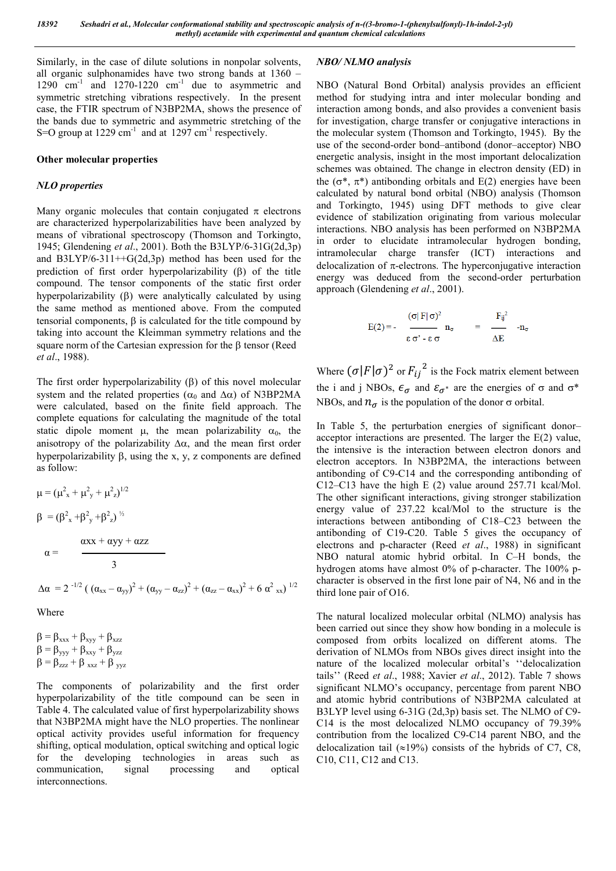Similarly, in the case of dilute solutions in nonpolar solvents, all organic sulphonamides have two strong bands at 1360 –  $1290$  cm<sup>-1</sup> and  $1270-1220$  cm<sup>-1</sup> due to asymmetric and symmetric stretching vibrations respectively. In the present case, the FTIR spectrum of N3BP2MA, shows the presence of the bands due to symmetric and asymmetric stretching of the S=O group at  $1229 \text{ cm}^{-1}$  and at  $1297 \text{ cm}^{-1}$  respectively.

#### **Other molecular properties**

## *NLO properties*

Many organic molecules that contain conjugated  $\pi$  electrons are characterized hyperpolarizabilities have been analyzed by means of vibrational spectroscopy (Thomson and Torkingto, 1945; Glendening *et al*., 2001). Both the B3LYP/6-31G(2d,3p) and  $B3LYP/6-311++G(2d,3p)$  method has been used for the prediction of first order hyperpolarizability  $(\beta)$  of the title compound. The tensor components of the static first order hyperpolarizability  $(\beta)$  were analytically calculated by using the same method as mentioned above. From the computed tensorial components,  $\beta$  is calculated for the title compound by taking into account the Kleimman symmetry relations and the square norm of the Cartesian expression for the  $\beta$  tensor (Reed *et al*., 1988).

The first order hyperpolarizability  $(\beta)$  of this novel molecular system and the related properties ( $\alpha_0$  and  $\Delta \alpha$ ) of N3BP2MA were calculated, based on the finite field approach. The complete equations for calculating the magnitude of the total static dipole moment  $\mu$ , the mean polarizability  $\alpha_0$ , the anisotropy of the polarizability  $\Delta \alpha$ , and the mean first order hyperpolarizability  $\beta$ , using the x, y, z components are defined as follow:

$$
\mu = (\mu_{x}^{2} + \mu_{y}^{2} + \mu_{z})^{1/2}
$$
\n
$$
\beta = (\beta_{x}^{2} + \beta_{y}^{2} + \beta_{z})^{1/2}
$$
\n
$$
\alpha = \frac{\alpha x + \alpha y y + \alpha z z}{3}
$$
\n
$$
\Delta \alpha = 2^{-1/2} \left( (\alpha_{xx} - \alpha_{yy})^{2} + (\alpha_{yy} - \alpha_{zz})^{2} + (\alpha_{zz} - \alpha_{xx})^{2} + 6 \alpha^{2} \alpha_{xx} \right)^{1/2}
$$

Where

 $\beta = \beta_{xxx} + \beta_{xyy} + \beta_{xzz}$  $\beta = \beta_{\text{yyy}} + \beta_{\text{xxy}} + \beta_{\text{yzz}}$  $\beta = \beta_{zzz} + \beta_{xxz} + \beta_{yyz}$ 

The components of polarizability and the first order hyperpolarizability of the title compound can be seen in Table 4. The calculated value of first hyperpolarizability shows that N3BP2MA might have the NLO properties. The nonlinear optical activity provides useful information for frequency shifting, optical modulation, optical switching and optical logic for the developing technologies in areas such as communication, signal processing and optical interconnections.

#### *NBO/ NLMO analysis*

NBO (Natural Bond Orbital) analysis provides an efficient method for studying intra and inter molecular bonding and interaction among bonds, and also provides a convenient basis for investigation, charge transfer or conjugative interactions in the molecular system (Thomson and Torkingto, 1945). By the use of the second-order bond–antibond (donor–acceptor) NBO energetic analysis, insight in the most important delocalization schemes was obtained. The change in electron density (ED) in the ( $\sigma^*$ ,  $\pi^*$ ) antibonding orbitals and E(2) energies have been calculated by natural bond orbital (NBO) analysis (Thomson and Torkingto, 1945) using DFT methods to give clear evidence of stabilization originating from various molecular interactions. NBO analysis has been performed on N3BP2MA in order to elucidate intramolecular hydrogen bonding, intramolecular charge transfer (ICT) interactions and delocalization of  $\pi$ -electrons. The hyperconjugative interaction energy was deduced from the second-order perturbation approach (Glendening *et al*., 2001).

$$
E(2) = - \quad \begin{array}{ccc} (\sigma | \, F | \, \sigma)^2 & & & F_{ij}{}^2 \\ \overline{\epsilon \, \sigma'} \, \text{-} \, \epsilon \, \sigma & & \Delta E \end{array} \quad \text{-} n_\sigma
$$

Where  $(\sigma|F|\sigma)^2$  or  $F_{ij}^2$  is the Fock matrix element between the i and j NBOs,  $\epsilon_{\sigma}$  and  $\epsilon_{\sigma^*}$  are the energies of  $\sigma$  and  $\sigma^*$ NBOs, and  $n_{\sigma}$  is the population of the donor  $\sigma$  orbital.

In Table 5, the perturbation energies of significant donor– acceptor interactions are presented. The larger the E(2) value, the intensive is the interaction between electron donors and electron acceptors. In N3BP2MA, the interactions between antibonding of C9-C14 and the corresponding antibonding of C12–C13 have the high E (2) value around 257.71 kcal/Mol. The other significant interactions, giving stronger stabilization energy value of 237.22 kcal/Mol to the structure is the interactions between antibonding of C18–C23 between the antibonding of C19-C20. Table 5 gives the occupancy of electrons and p-character (Reed *et al*., 1988) in significant NBO natural atomic hybrid orbital. In C–H bonds, the hydrogen atoms have almost 0% of p-character. The 100% pcharacter is observed in the first lone pair of N4, N6 and in the third lone pair of O16.

The natural localized molecular orbital (NLMO) analysis has been carried out since they show how bonding in a molecule is composed from orbits localized on different atoms. The derivation of NLMOs from NBOs gives direct insight into the nature of the localized molecular orbital's ''delocalization tails'' (Reed *et al*., 1988; Xavier *et al*., 2012). Table 7 shows significant NLMO's occupancy, percentage from parent NBO and atomic hybrid contributions of N3BP2MA calculated at B3LYP level using 6-31G (2d,3p) basis set. The NLMO of C9- C14 is the most delocalized NLMO occupancy of 79.39% contribution from the localized C9-C14 parent NBO, and the delocalization tail ( $\approx$ 19%) consists of the hybrids of C7, C8, C10, C11, C12 and C13.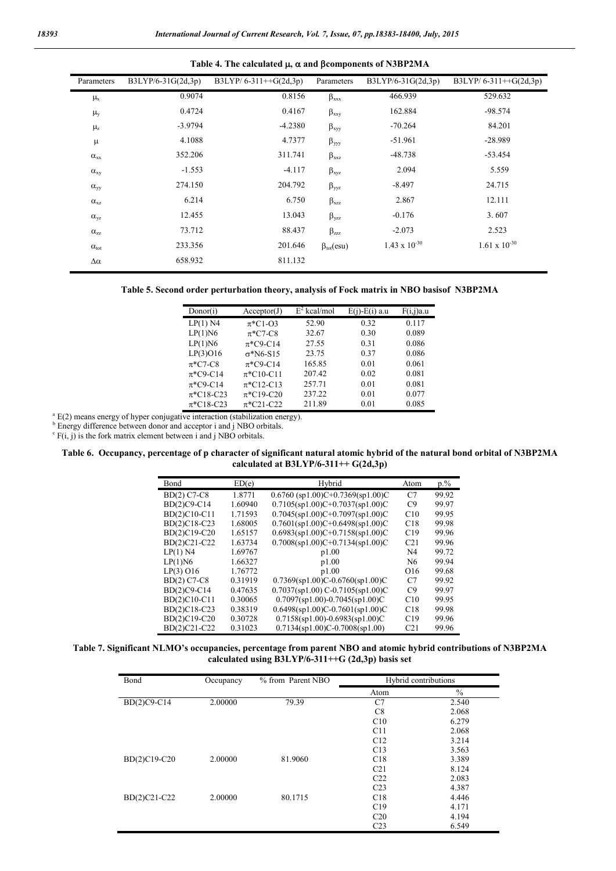| Parameters         | B3LYP/6-31G(2d,3p) | . .<br>B3LYP/6-311++G(2d,3p) | Parameters                       | $B3LYP/6-31G(2d,3p)$   | B3LYP/6-311++G(2d,3p)  |
|--------------------|--------------------|------------------------------|----------------------------------|------------------------|------------------------|
| $\mu_{\rm x}$      | 0.9074             | 0.8156                       | $\beta_{xxx}$                    | 466.939                | 529.632                |
| $\mu_y$            | 0.4724             | 0.4167                       | $\beta_{xxy}$                    | 162.884                | $-98.574$              |
| $\mu$ <sub>z</sub> | $-3.9794$          | $-4.2380$                    | $\beta_{xyy}$                    | $-70.264$              | 84.201                 |
| μ                  | 4.1088             | 4.7377                       | $\beta_{yyy}$                    | $-51.961$              | $-28.989$              |
| $\alpha_{xx}$      | 352.206            | 311.741                      | $\beta_{xxz}$                    | $-48.738$              | $-53.454$              |
| $\alpha_{xy}$      | $-1.553$           | $-4.117$                     | $\beta_{xyz}$                    | 2.094                  | 5.559                  |
| $\alpha_{\rm vv}$  | 274.150            | 204.792                      | $\beta_{yyz}$                    | $-8.497$               | 24.715                 |
| $\alpha_{xz}$      | 6.214              | 6.750                        | $\beta_{xzz}$                    | 2.867                  | 12.111                 |
| $\alpha_{vz}$      | 12.455             | 13.043                       | $\beta_{yzz}$                    | $-0.176$               | 3.607                  |
| $\alpha_{zz}$      | 73.712             | 88.437                       | $\beta_{zzz}$                    | $-2.073$               | 2.523                  |
| $\alpha_{\rm tot}$ | 233.356            | 201.646                      | $\beta_{\text{tot}}(\text{esu})$ | $1.43 \times 10^{-30}$ | $1.61 \times 10^{-30}$ |
| $\Delta \alpha$    | 658.932            | 811.132                      |                                  |                        |                        |



| Donor(i)       | Acceptor(J)                             | $E^2$ kcal/mol | $E(i)$ - $E(i)$ a.u | F(i,j)a.u |
|----------------|-----------------------------------------|----------------|---------------------|-----------|
| $LP(1)$ N4     | $\pi$ *C1-O3                            | 52.90          | 0.32                | 0.117     |
| LP(1)N6        | $\pi$ *C7-C8                            | 32.67          | 0.30                | 0.089     |
| LP(1)N6        | $\pi$ *C9-C14                           | 27.55          | 0.31                | 0.086     |
| $LP(3)$ O16    | $\sigma$ *N6-S15                        | 23.75          | 0.37                | 0.086     |
| $\pi$ *C7-C8   | $\pi$ *C9-C14                           | 165.85         | 0.01                | 0.061     |
| $\pi$ *C9-C14  | $\pi$ *C <sub>10</sub> -C <sub>11</sub> | 207.42         | 0.02                | 0.081     |
| $\pi$ *C9-C14  | $\pi$ *C12-C13                          | 257.71         | 0.01                | 0.081     |
| $\pi$ *C18-C23 | $\pi$ *C19-C20                          | 237.22         | 0.01                | 0.077     |
| $\pi$ *C18-C23 | $\pi$ *C21-C22                          | 211.89         | 0.01                | 0.085     |

 $a^{a}$  E(2) means energy of hyper conjugative interaction (stabilization energy).

b Energy difference between donor and acceptor i and j NBO orbitals.

 $\overrightarrow{F}(i, j)$  is the fork matrix element between i and j NBO orbitals.

#### **Table 6. Occupancy, percentage of p character of significant natural atomic hybrid of the natural bond orbital of N3BP2MA calculated at B3LYP/6-311++ G(2d,3p)**

| Bond         | ED(e)   | Hybrid                              | Atom            | $p_{.}\%$ |
|--------------|---------|-------------------------------------|-----------------|-----------|
| BD(2) C7-C8  | 1.8771  | $0.6760$ (sp1.00)C+0.7369(sp1.00)C  | C <sub>7</sub>  | 99.92     |
| BD(2)C9-C14  | 1.60940 | $0.7105$ (sp1.00)C+0.7037(sp1.00)C  | C9              | 99.97     |
| BD(2)C10-C11 | 1.71593 | $0.7045$ (sp1.00)C+0.7097(sp1.00)C  | C10             | 99.95     |
| BD(2)C18-C23 | 1.68005 | $0.7601$ (sp1.00)C+0.6498(sp1.00)C  | C18             | 99.98     |
| BD(2)C19-C20 | 1.65157 | $0.6983$ (sp1.00)C+0.7158(sp1.00)C  | C19             | 99.96     |
| BD(2)C21-C22 | 1.63734 | $0.7008(sp1.00)C+0.7134(sp1.00)C$   | C <sub>21</sub> | 99.96     |
| $LP(1)$ N4   | 1.69767 | p1.00                               | N <sub>4</sub>  | 99.72     |
| LP(1)N6      | 1.66327 | p1.00                               | N6              | 99.94     |
| $LP(3)$ O16  | 1.76772 | p1.00                               | O <sub>16</sub> | 99.68     |
| BD(2) C7-C8  | 0.31919 | $0.7369$ (sp1.00)C-0.6760(sp1.00)C  | C <sub>7</sub>  | 99.92     |
| BD(2)C9-C14  | 0.47635 | $0.7037$ (sp1.00) C-0.7105(sp1.00)C | C9              | 99.97     |
| BD(2)C10-C11 | 0.30065 | $0.7097$ (sp1.00)-0.7045(sp1.00)C   | C10             | 99.95     |
| BD(2)C18-C23 | 0.38319 | $0.6498$ (sp1.00)C-0.7601(sp1.00)C  | C18             | 99.98     |
| BD(2)C19-C20 | 0.30728 | $0.7158$ (sp1.00)-0.6983(sp1.00)C   | C19             | 99.96     |
| BD(2)C21-C22 | 0.31023 | $0.7134$ (sp1.00)C-0.7008(sp1.00)   | C <sub>21</sub> | 99.96     |

#### **Table 7. Significant NLMO's occupancies, percentage from parent NBO and atomic hybrid contributions of N3BP2MA calculated using B3LYP/6-311++G (2d,3p) basis set**

| Bond         | Occupancy | % from Parent NBO |                 | Hybrid contributions |
|--------------|-----------|-------------------|-----------------|----------------------|
|              |           |                   | Atom            | $\%$                 |
| BD(2)C9-C14  | 2.00000   | 79.39             | C7              | 2.540                |
|              |           |                   | C8              | 2.068                |
|              |           |                   | C10             | 6.279                |
|              |           |                   | C11             | 2.068                |
|              |           |                   | C12             | 3.214                |
|              |           |                   | C13             | 3.563                |
| BD(2)C19-C20 | 2.00000   | 81.9060           | C18             | 3.389                |
|              |           |                   | C <sub>21</sub> | 8.124                |
|              |           |                   | C <sub>22</sub> | 2.083                |
|              |           |                   | C23             | 4.387                |
| BD(2)C21-C22 | 2.00000   | 80.1715           | C18             | 4.446                |
|              |           |                   | C19             | 4.171                |
|              |           |                   | C20             | 4.194                |
|              |           |                   | C <sub>23</sub> | 6.549                |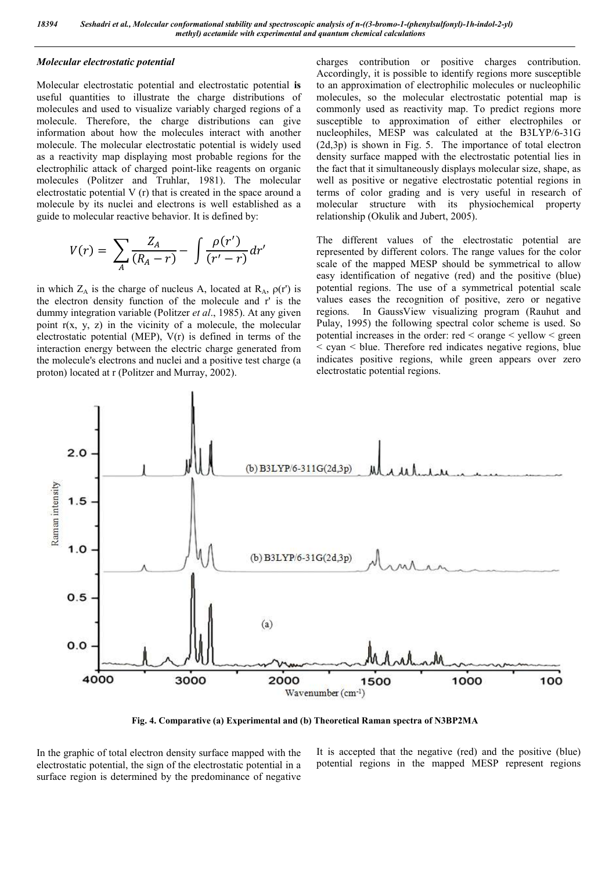#### *Molecular electrostatic potential*

Molecular electrostatic potential and electrostatic potential **is** useful quantities to illustrate the charge distributions of molecules and used to visualize variably charged regions of a molecule. Therefore, the charge distributions can give information about how the molecules interact with another molecule. The molecular electrostatic potential is widely used as a reactivity map displaying most probable regions for the electrophilic attack of charged point-like reagents on organic molecules (Politzer and Truhlar, 1981). The molecular electrostatic potential V (r) that is created in the space around a molecule by its nuclei and electrons is well established as a guide to molecular reactive behavior. It is defined by:

$$
V(r) = \sum_{A} \frac{Z_A}{(R_A - r)} - \int \frac{\rho(r')}{(r' - r)} dr'
$$

in which  $Z_A$  is the charge of nucleus A, located at  $R_A$ ,  $\rho(r)$  is the electron density function of the molecule and r' is the dummy integration variable (Politzer *et al*., 1985). At any given point  $r(x, y, z)$  in the vicinity of a molecule, the molecular electrostatic potential (MEP), V(r) is defined in terms of the interaction energy between the electric charge generated from the molecule's electrons and nuclei and a positive test charge (a proton) located at r (Politzer and Murray, 2002).

charges contribution or positive charges contribution. Accordingly, it is possible to identify regions more susceptible to an approximation of electrophilic molecules or nucleophilic molecules, so the molecular electrostatic potential map is commonly used as reactivity map. To predict regions more susceptible to approximation of either electrophiles or nucleophiles, MESP was calculated at the B3LYP/6-31G  $(2d,3p)$  is shown in Fig. 5. The importance of total electron density surface mapped with the electrostatic potential lies in the fact that it simultaneously displays molecular size, shape, as well as positive or negative electrostatic potential regions in terms of color grading and is very useful in research of molecular structure with its physiochemical property relationship (Okulik and Jubert, 2005).

The different values of the electrostatic potential are represented by different colors. The range values for the color scale of the mapped MESP should be symmetrical to allow easy identification of negative (red) and the positive (blue) potential regions. The use of a symmetrical potential scale values eases the recognition of positive, zero or negative regions. In GaussView visualizing program (Rauhut and Pulay, 1995) the following spectral color scheme is used. So potential increases in the order: red < orange < yellow < green  $\leq$  cyan  $\leq$  blue. Therefore red indicates negative regions, blue indicates positive regions, while green appears over zero electrostatic potential regions.



**Fig. 4. Comparative (a) Experimental and (b) Theoretical Raman spectra of N3BP2MA**

In the graphic of total electron density surface mapped with the electrostatic potential, the sign of the electrostatic potential in a surface region is determined by the predominance of negative It is accepted that the negative (red) and the positive (blue) potential regions in the mapped MESP represent regions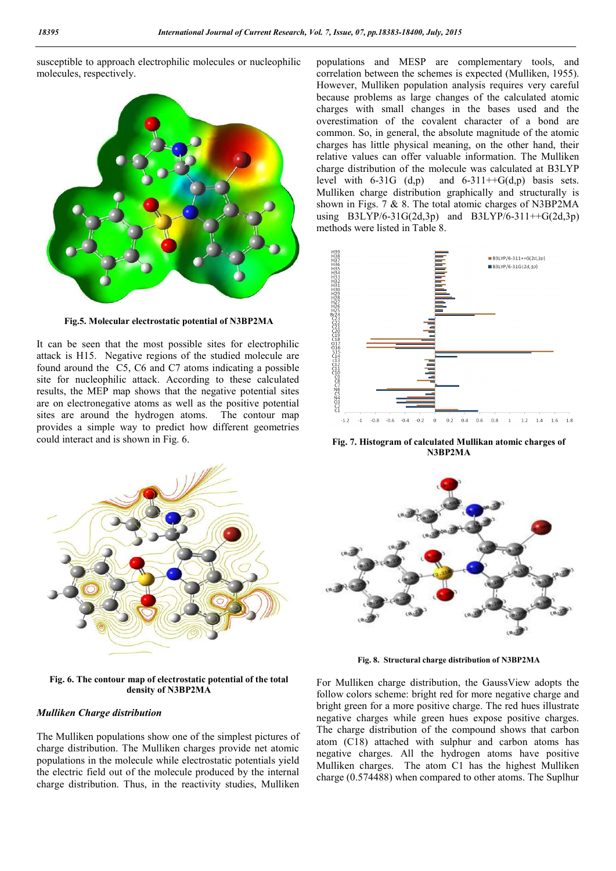susceptible to approach electrophilic molecules or nucleophilic molecules, respectively.



**Fig.5. Molecular electrostatic potential of N3BP2MA**

It can be seen that the most possible sites for electrophilic attack is H15. Negative regions of the studied molecule are found around the C5, C6 and C7 atoms indicating a possible site for nucleophilic attack. According to these calculated results, the MEP map shows that the negative potential sites are on electronegative atoms as well as the positive potential sites are around the hydrogen atoms. The contour map provides a simple way to predict how different geometries could interact and is shown in Fig. 6.



**Fig. 6. The contour map of electrostatic potential of the total density of N3BP2MA**

#### *Mulliken Charge distribution*

The Mulliken populations show one of the simplest pictures of charge distribution. The Mulliken charges provide net atomic populations in the molecule while electrostatic potentials yield the electric field out of the molecule produced by the internal charge distribution. Thus, in the reactivity studies, Mulliken populations and MESP are complementary tools, and correlation between the schemes is expected (Mulliken, 1955). However, Mulliken population analysis requires very careful because problems as large changes of the calculated atomic charges with small changes in the bases used and the overestimation of the covalent character of a bond are common. So, in general, the absolute magnitude of the atomic charges has little physical meaning, on the other hand, their relative values can offer valuable information. The Mulliken charge distribution of the molecule was calculated at B3LYP level with  $6-31G$   $(d,p)$  and  $6-311++G(d,p)$  basis sets. Mulliken charge distribution graphically and structurally is shown in Figs. 7 & 8. The total atomic charges of N3BP2MA using B3LYP/6-31G(2d,3p) and B3LYP/6-311++G(2d,3p) methods were listed in Table 8.



**Fig. 7. Histogram of calculated Mullikan atomic charges of N3BP2MA**



**Fig. 8. Structural charge distribution of N3BP2MA**

For Mulliken charge distribution, the GaussView adopts the follow colors scheme: bright red for more negative charge and bright green for a more positive charge. The red hues illustrate negative charges while green hues expose positive charges. The charge distribution of the compound shows that carbon atom (C18) attached with sulphur and carbon atoms has negative charges. All the hydrogen atoms have positive Mulliken charges. The atom C1 has the highest Mulliken charge (0.574488) when compared to other atoms. The Suplhur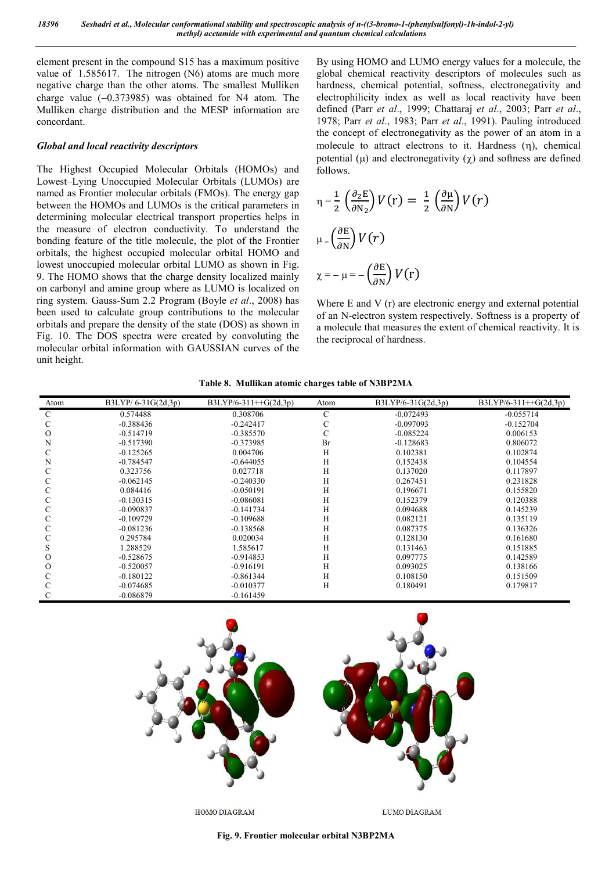element present in the compound S15 has a maximum positive value of 1.585617. The nitrogen (N6) atoms are much more negative charge than the other atoms. The smallest Mulliken charge value  $(-0.373985)$  was obtained for N4 atom. The Mulliken charge distribution and the MESP information are concordant.

#### *Global and local reactivity descriptors*

The Highest Occupied Molecular Orbitals (HOMOs) and Lowest–Lying Unoccupied Molecular Orbitals (LUMOs) are named as Frontier molecular orbitals (FMOs). The energy gap between the HOMOs and LUMOs is the critical parameters in determining molecular electrical transport properties helps in the measure of electron conductivity. To understand the bonding feature of the title molecule, the plot of the Frontier orbitals, the highest occupied molecular orbital HOMO and lowest unoccupied molecular orbital LUMO as shown in Fig. 9. The HOMO shows that the charge density localized mainly on carbonyl and amine group where as LUMO is localized on ring system. Gauss-Sum 2.2 Program (Boyle *et al*., 2008) has been used to calculate group contributions to the molecular orbitals and prepare the density of the state (DOS) as shown in Fig. 10. The DOS spectra were created by convoluting the molecular orbital information with GAUSSIAN curves of the unit height.

By using HOMO and LUMO energy values for a molecule, the global chemical reactivity descriptors of molecules such as hardness, chemical potential, softness, electronegativity and electrophilicity index as well as local reactivity have been defined (Parr *et al*., 1999; Chattaraj *et al*., 2003; Parr *et al*., 1978; Parr *et al*., 1983; Parr *et al*., 1991). Pauling introduced the concept of electronegativity as the power of an atom in a molecule to attract electrons to it. Hardness  $(n)$ , chemical potential  $(\mu)$  and electronegativity  $(\chi)$  and softness are defined follows.

$$
\eta = \frac{1}{2} \left( \frac{\partial_2 E}{\partial N_2} \right) V(r) = \frac{1}{2} \left( \frac{\partial \mu}{\partial N} \right) V(r)
$$
  

$$
\mu = \left( \frac{\partial E}{\partial N} \right) V(r)
$$
  

$$
\chi = -\mu = -\left( \frac{\partial E}{\partial N} \right) V(r)
$$

Where E and V (r) are electronic energy and external potential of an N-electron system respectively. Softness is a property of a molecule that measures the extent of chemical reactivity. It is the reciprocal of hardness.

|  | Table 8. Mullikan atomic charges table of N3BP2MA |  |
|--|---------------------------------------------------|--|
|  |                                                   |  |

| Atom | $B3LYP/ 6-31G(2d,3p)$ | $B3LYP/6-311++G(2d,3p)$ | Atom | $B3LYP/6-31G(2d,3p)$ | B3LYP/6-311++G(2d,3p) |
|------|-----------------------|-------------------------|------|----------------------|-----------------------|
| С    | 0.574488              | 0.308706                | C    | $-0.072493$          | $-0.055714$           |
|      | $-0.388436$           | $-0.242417$             | C    | $-0.097093$          | $-0.152704$           |
| 0    | $-0.514719$           | $-0.385570$             | C    | $-0.085224$          | 0.006153              |
| N    | $-0.517390$           | $-0.373985$             | Br   | $-0.128683$          | 0.806072              |
|      | $-0.125265$           | 0.004706                | Η    | 0.102381             | 0.102874              |
| N    | $-0.784547$           | $-0.644055$             | Η    | 0.152438             | 0.104554              |
|      | 0.323756              | 0.027718                | H    | 0.137020             | 0.117897              |
| ◡    | $-0.062145$           | $-0.240330$             | Η    | 0.267451             | 0.231828              |
|      | 0.084416              | $-0.050191$             | Η    | 0.196671             | 0.155820              |
|      | $-0.130315$           | $-0.086081$             | Η    | 0.152379             | 0.120388              |
|      | $-0.090837$           | $-0.141734$             | Η    | 0.094688             | 0.145239              |
|      | $-0.109729$           | $-0.109688$             | Η    | 0.082121             | 0.135119              |
|      | $-0.081236$           | $-0.138568$             | Η    | 0.087375             | 0.136326              |
|      | 0.295784              | 0.020034                | H    | 0.128130             | 0.161680              |
| S    | 1.288529              | 1.585617                | Η    | 0.131463             | 0.151885              |
| O    | $-0.528675$           | $-0.914853$             | Η    | 0.097775             | 0.142589              |
| О    | $-0.520057$           | $-0.916191$             | Η    | 0.093025             | 0.138166              |
|      | $-0.180122$           | $-0.861344$             | Η    | 0.108150             | 0.151509              |
|      | $-0.074685$           | $-0.010377$             | Η    | 0.180491             | 0.179817              |
|      | $-0.086879$           | $-0.161459$             |      |                      |                       |



**Fig. 9. Frontier molecular orbital N3BP2MA**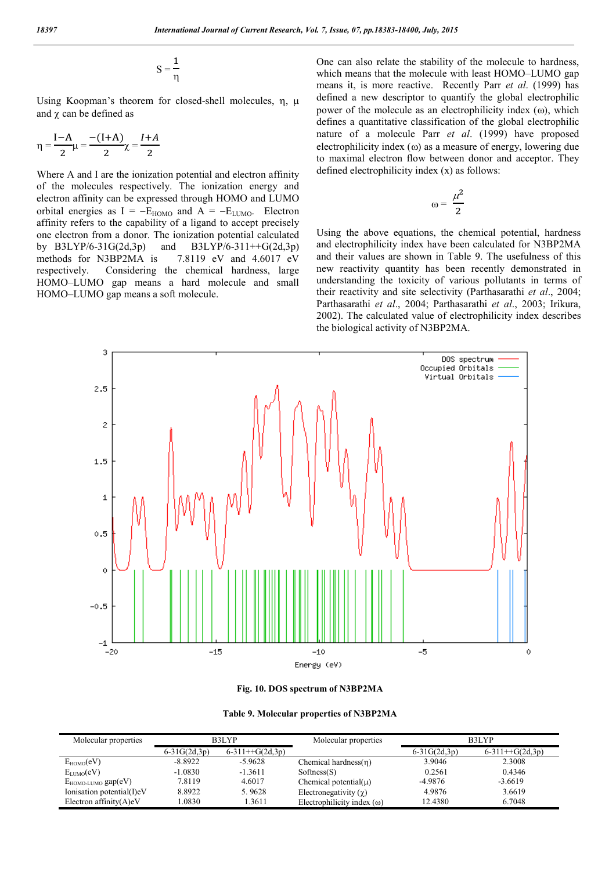$$
S=\frac{1}{\eta}
$$

Using Koopman's theorem for closed-shell molecules,  $\eta$ ,  $\mu$ and  $\chi$  can be defined as

$$
\eta = \frac{I - A}{2} \mu = \frac{-(I + A)}{2} \chi = \frac{I + A}{2}
$$

Where A and I are the ionization potential and electron affinity of the molecules respectively. The ionization energy and electron affinity can be expressed through HOMO and LUMO orbital energies as  $I = -E_{HOMO}$  and  $A = -E_{LUMO}$ . Electron affinity refers to the capability of a ligand to accept precisely one electron from a donor. The ionization potential calculated by  $B3LYP/6-31G(2d,3p)$  and  $B3LYP/6-311++G(2d,3p)$ methods for N3BP2MA is 7.8119 eV and 4.6017 eV respectively. Considering the chemical hardness, large HOMO–LUMO gap means a hard molecule and small HOMO–LUMO gap means a soft molecule.

One can also relate the stability of the molecule to hardness, which means that the molecule with least HOMO–LUMO gap means it, is more reactive. Recently Parr *et al*. (1999) has defined a new descriptor to quantify the global electrophilic power of the molecule as an electrophilicity index  $(\omega)$ , which defines a quantitative classification of the global electrophilic nature of a molecule Parr *et al*. (1999) have proposed electrophilicity index  $(\omega)$  as a measure of energy, lowering due to maximal electron flow between donor and acceptor. They defined electrophilicity index (x) as follows:

$$
\omega = \frac{\mu^2}{2}
$$

Using the above equations, the chemical potential, hardness and electrophilicity index have been calculated for N3BP2MA and their values are shown in Table 9. The usefulness of this new reactivity quantity has been recently demonstrated in understanding the toxicity of various pollutants in terms of their reactivity and site selectivity (Parthasarathi *et al*., 2004; Parthasarathi *et al*., 2004; Parthasarathi *et al*., 2003; Irikura, 2002). The calculated value of electrophilicity index describes the biological activity of N3BP2MA.





| Molecular properties         | B3LYP          |                   | Molecular properties              | B3LYP          |                   |
|------------------------------|----------------|-------------------|-----------------------------------|----------------|-------------------|
|                              | $6-31G(2d,3p)$ | $6-311++G(2d,3p)$ |                                   | $6-31G(2d,3p)$ | $6-311++G(2d,3p)$ |
| $E_{HOMO}(eV)$               | -8.8922        | $-5.9628$         | Chemical hardness $(n)$           | 3.9046         | 2.3008            |
| $E_{LIMO}(eV)$               | $-1.0830$      | $-1.3611$         | Sofiness(S)                       | 0.2561         | 0.4346            |
| $E_{HOMO-LUMO}$ gap $(eV)$   | 7.8119         | 4.6017            | Chemical potential( $\mu$ )       | $-4.9876$      | $-3.6619$         |
| Ionisation potential(I) $eV$ | 8.8922         | 5.9628            | Electronegativity $(\gamma)$      | 4.9876         | 3.6619            |
| Electron affinity $(A)eV$    | .0830          | 1.3611            | Electrophilicity index $(\omega)$ | 12.4380        | 6.7048            |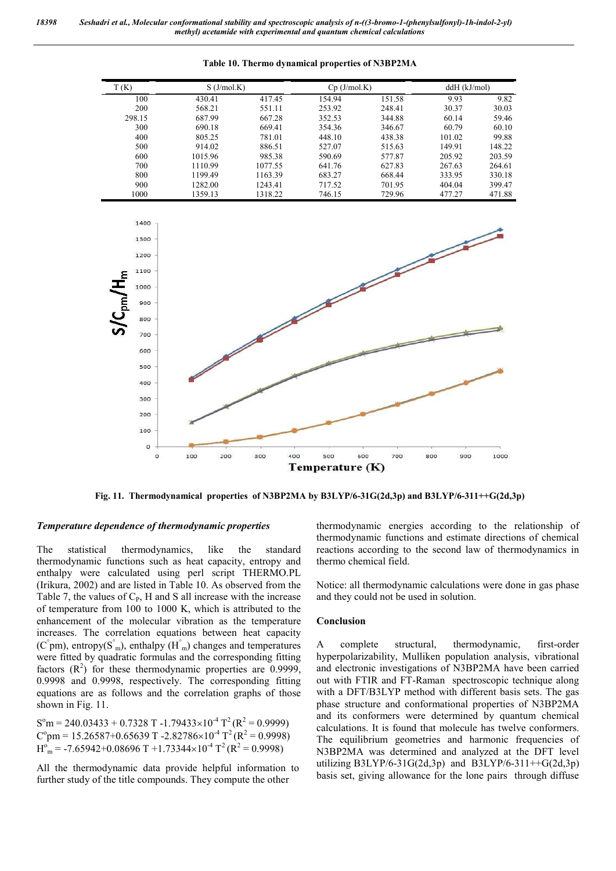| T (K)  | $S$ (J/mol.K) |         | $Cp$ (J/mol.K) |        | $ddH$ ( $kJ/mol$ ) |        |
|--------|---------------|---------|----------------|--------|--------------------|--------|
| 100    | 430.41        | 417.45  | 154.94         | 151.58 | 9.93               | 9.82   |
| 200    | 568.21        | 551.11  | 253.92         | 248.41 | 30.37              | 30.03  |
| 298.15 | 687.99        | 667.28  | 352.53         | 344.88 | 60.14              | 59.46  |
| 300    | 690.18        | 669.41  | 354.36         | 346.67 | 60.79              | 60.10  |
| 400    | 805.25        | 781.01  | 448.10         | 438.38 | 101.02             | 99.88  |
| 500    | 914.02        | 886.51  | 527.07         | 515.63 | 149.91             | 148.22 |
| 600    | 1015.96       | 985.38  | 590.69         | 577.87 | 205.92             | 203.59 |
| 700    | 1110.99       | 1077.55 | 641.76         | 627.83 | 267.63             | 264.61 |
| 800    | 1199.49       | 1163.39 | 683.27         | 668.44 | 333.95             | 330.18 |
| 900    | 1282.00       | 1243.41 | 717.52         | 701.95 | 404.04             | 399.47 |
| 1000   | 1359.13       | 1318.22 | 746.15         | 729.96 | 477.27             | 471.88 |





**Fig. 11. Thermodynamical properties of N3BP2MA by B3LYP/6-31G(2d,3p) and B3LYP/6-311++G(2d,3p)**

## *Temperature dependence of thermodynamic properties*

The statistical thermodynamics, like the standard thermodynamic functions such as heat capacity, entropy and enthalpy were calculated using perl script THERMO.PL (Irikura, 2002) and are listed in Table 10. As observed from the Table 7, the values of  $C_P$ , H and S all increase with the increase of temperature from 100 to 1000 K, which is attributed to the enhancement of the molecular vibration as the temperature increases. The correlation equations between heat capacity  $(C<sup>°</sup>pm)$ , entropy $(S<sup>°</sup>_{m})$ , enthalpy  $(H<sup>°</sup>_{m})$  changes and temperatures were fitted by quadratic formulas and the corresponding fitting factors  $(R^2)$  for these thermodynamic properties are 0.9999, 0.9998 and 0.9998, respectively. The corresponding fitting equations are as follows and the correlation graphs of those shown in Fig. 11.

 $S^{o}m = 240.03433 + 0.7328 T - 1.79433 \times 10^{-4} T^{2} (R^{2} = 0.9999)$  $C<sup>o</sup>$ pm = 15.26587+0.65639 T -2.82786×10<sup>-4</sup> T<sup>2</sup> (R<sup>2</sup> = 0.9998)  $H<sup>o</sup><sub>m</sub> = -7.65942+0.08696 T +1.73344 \times 10<sup>-4</sup> T<sup>2</sup> (R<sup>2</sup> = 0.9998)$ 

All the thermodynamic data provide helpful information to further study of the title compounds. They compute the other

thermodynamic energies according to the relationship of thermodynamic functions and estimate directions of chemical reactions according to the second law of thermodynamics in thermo chemical field.

Notice: all thermodynamic calculations were done in gas phase and they could not be used in solution.

#### **Conclusion**

A complete structural, thermodynamic, first-order hyperpolarizability, Mulliken population analysis, vibrational and electronic investigations of N3BP2MA have been carried out with FTIR and FT-Raman spectroscopic technique along with a DFT/B3LYP method with different basis sets. The gas phase structure and conformational properties of N3BP2MA and its conformers were determined by quantum chemical calculations. It is found that molecule has twelve conformers. The equilibrium geometries and harmonic frequencies of N3BP2MA was determined and analyzed at the DFT level utilizing B3LYP/6-31G(2d,3p) and B3LYP/6-311++G(2d,3p) basis set, giving allowance for the lone pairs through diffuse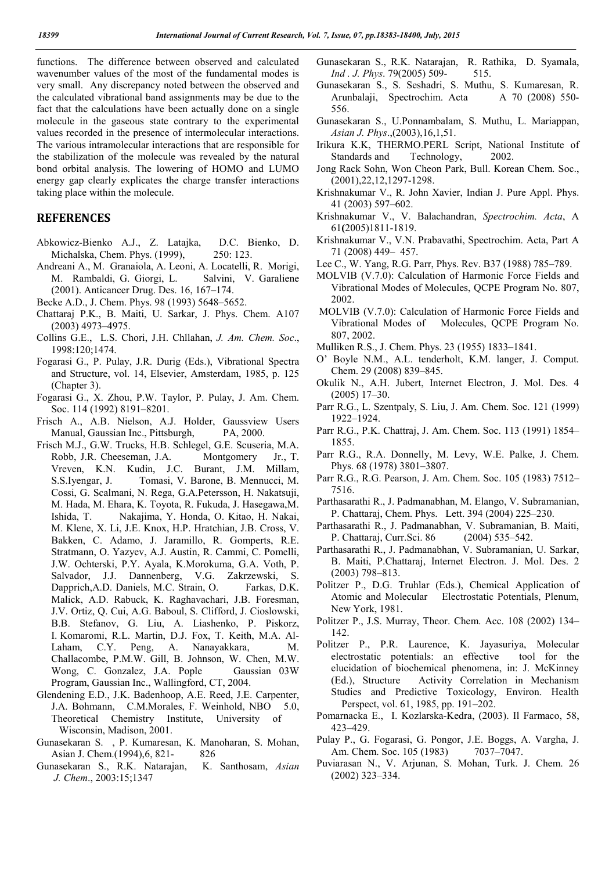functions. The difference between observed and calculated wavenumber values of the most of the fundamental modes is very small. Any discrepancy noted between the observed and the calculated vibrational band assignments may be due to the fact that the calculations have been actually done on a single molecule in the gaseous state contrary to the experimental values recorded in the presence of intermolecular interactions. The various intramolecular interactions that are responsible for the stabilization of the molecule was revealed by the natural bond orbital analysis. The lowering of HOMO and LUMO energy gap clearly explicates the charge transfer interactions taking place within the molecule.

## **REFERENCES**

- Abkowicz-Bienko A.J., Z. Latajka, D.C. Bienko, D. Michalska, Chem. Phys. (1999), 250: 123.
- Andreani A., M. Granaiola, A. Leoni, A. Locatelli, R. Morigi, M. Rambaldi, G. Giorgi, L. Salvini, V. Garaliene (2001). Anticancer Drug. Des. 16, 167–174.
- Becke A.D., J. Chem. Phys. 98 (1993) 5648–5652.
- Chattaraj P.K., B. Maiti, U. Sarkar, J. Phys. Chem. A107 (2003) 4973–4975.
- Collins G.E., L.S. Chori, J.H. Chllahan, *J. Am. Chem. Soc*., 1998:120;1474.
- Fogarasi G., P. Pulay, J.R. Durig (Eds.), Vibrational Spectra and Structure, vol. 14, Elsevier, Amsterdam, 1985, p. 125 (Chapter 3).
- Fogarasi G., X. Zhou, P.W. Taylor, P. Pulay, J. Am. Chem. Soc. 114 (1992) 8191–8201.
- Frisch A., A.B. Nielson, A.J. Holder, Gaussview Users Manual, Gaussian Inc., Pittsburgh, PA, 2000.
- Frisch M.J., G.W. Trucks, H.B. Schlegel, G.E. Scuseria, M.A. Robb, J.R. Cheeseman, J.A. Montgomery Jr., T. Vreven, K.N. Kudin, J.C. Burant, J.M. Millam, S.S.Iyengar, J. Tomasi, V. Barone, B. Mennucci, M. Cossi, G. Scalmani, N. Rega, G.A.Petersson, H. Nakatsuji, M. Hada, M. Ehara, K. Toyota, R. Fukuda, J. Hasegawa,M. Ishida, T. Nakajima, Y. Honda, O. Kitao, H. Nakai, M. Klene, X. Li, J.E. Knox, H.P. Hratchian, J.B. Cross, V. Bakken, C. Adamo, J. Jaramillo, R. Gomperts, R.E. Stratmann, O. Yazyev, A.J. Austin, R. Cammi, C. Pomelli, J.W. Ochterski, P.Y. Ayala, K.Morokuma, G.A. Voth, P. Salvador, J.J. Dannenberg, V.G. Zakrzewski, S. Dapprich,A.D. Daniels, M.C. Strain, O. Farkas, D.K. Malick, A.D. Rabuck, K. Raghavachari, J.B. Foresman, J.V. Ortiz, Q. Cui, A.G. Baboul, S. Clifford, J. Cioslowski, B.B. Stefanov, G. Liu, A. Liashenko, P. Piskorz, I. Komaromi, R.L. Martin, D.J. Fox, T. Keith, M.A. Al-Laham, C.Y. Peng, A. Nanayakkara, M. Challacombe, P.M.W. Gill, B. Johnson, W. Chen, M.W. Wong, C. Gonzalez, J.A. Pople Gaussian 03W Program, Gaussian Inc., Wallingford, CT, 2004.
- Glendening E.D., J.K. Badenhoop, A.E. Reed, J.E. Carpenter, J.A. Bohmann, C.M.Morales, F. Weinhold, NBO 5.0, Theoretical Chemistry Institute, University of Wisconsin, Madison, 2001.
- Gunasekaran S. , P. Kumaresan, K. Manoharan, S. Mohan, Asian J. Chem. (1994), 6, 821- 826
- Gunasekaran S., R.K. Natarajan, K. Santhosam, *Asian J. Chem*., 2003:15;1347
- Gunasekaran S., R.K. Natarajan, R. Rathika, D. Syamala, *Ind . J. Phys*. 79(2005) 509- 515.
- Gunasekaran S., S. Seshadri, S. Muthu, S. Kumaresan, R. Arunbalaji, Spectrochim. Acta A 70 (2008) 550- 556.
- Gunasekaran S., U.Ponnambalam, S. Muthu, L. Mariappan, *Asian J. Phys*.,(2003),16,1,51.
- Irikura K.K, THERMO.PERL Script, National Institute of Standards and Technology, 2002.
- Jong Rack Sohn, Won Cheon Park, Bull. Korean Chem. Soc., (2001),22,12,1297-1298.
- Krishnakumar V., R. John Xavier, Indian J. Pure Appl. Phys. 41 (2003) 597–602.
- Krishnakumar V., V. Balachandran, *Spectrochim. Acta*, A 61**(**2005)1811-1819.
- Krishnakumar V., V.N. Prabavathi, Spectrochim. Acta, Part A 71 (2008) 449– 457.
- Lee C., W. Yang, R.G. Parr, Phys. Rev. B37 (1988) 785–789.
- MOLVIB (V.7.0): Calculation of Harmonic Force Fields and Vibrational Modes of Molecules, QCPE Program No. 807, 2002.
- MOLVIB (V.7.0): Calculation of Harmonic Force Fields and Vibrational Modes of Molecules, QCPE Program No. 807, 2002.
- Mulliken R.S., J. Chem. Phys. 23 (1955) 1833–1841.
- O' Boyle N.M., A.L. tenderholt, K.M. langer, J. Comput. Chem. 29 (2008) 839–845.
- Okulik N., A.H. Jubert, Internet Electron, J. Mol. Des. 4 (2005) 17–30.
- Parr R.G., L. Szentpaly, S. Liu, J. Am. Chem. Soc. 121 (1999) 1922–1924.
- Parr R.G., P.K. Chattraj, J. Am. Chem. Soc. 113 (1991) 1854– 1855.
- Parr R.G., R.A. Donnelly, M. Levy, W.E. Palke, J. Chem. Phys. 68 (1978) 3801–3807.
- Parr R.G., R.G. Pearson, J. Am. Chem. Soc. 105 (1983) 7512– 7516.
- Parthasarathi R., J. Padmanabhan, M. Elango, V. Subramanian, P. Chattaraj, Chem. Phys. Lett. 394 (2004) 225–230.
- Parthasarathi R., J. Padmanabhan, V. Subramanian, B. Maiti, P. Chattaraj, Curr.Sci. 86 (2004) 535–542.
- Parthasarathi R., J. Padmanabhan, V. Subramanian, U. Sarkar, B. Maiti, P.Chattaraj, Internet Electron. J. Mol. Des. 2 (2003) 798–813.
- Politzer P., D.G. Truhlar (Eds.), Chemical Application of Atomic and Molecular Electrostatic Potentials, Plenum, New York, 1981.
- Politzer P., J.S. Murray, Theor. Chem. Acc. 108 (2002) 134– 142.
- Politzer P., P.R. Laurence, K. Jayasuriya, Molecular electrostatic potentials: an effective tool for the elucidation of biochemical phenomena, in: J. McKinney (Ed.), Structure Activity Correlation in Mechanism Studies and Predictive Toxicology, Environ. Health Perspect, vol. 61, 1985, pp. 191–202.
- Pomarnacka E., I. Kozlarska-Kedra, (2003). Il Farmaco, 58, 423–429.
- Pulay P., G. Fogarasi, G. Pongor, J.E. Boggs, A. Vargha, J. Am. Chem. Soc. 105 (1983) 7037-7047.
- Puviarasan N., V. Arjunan, S. Mohan, Turk. J. Chem. 26 (2002) 323–334.